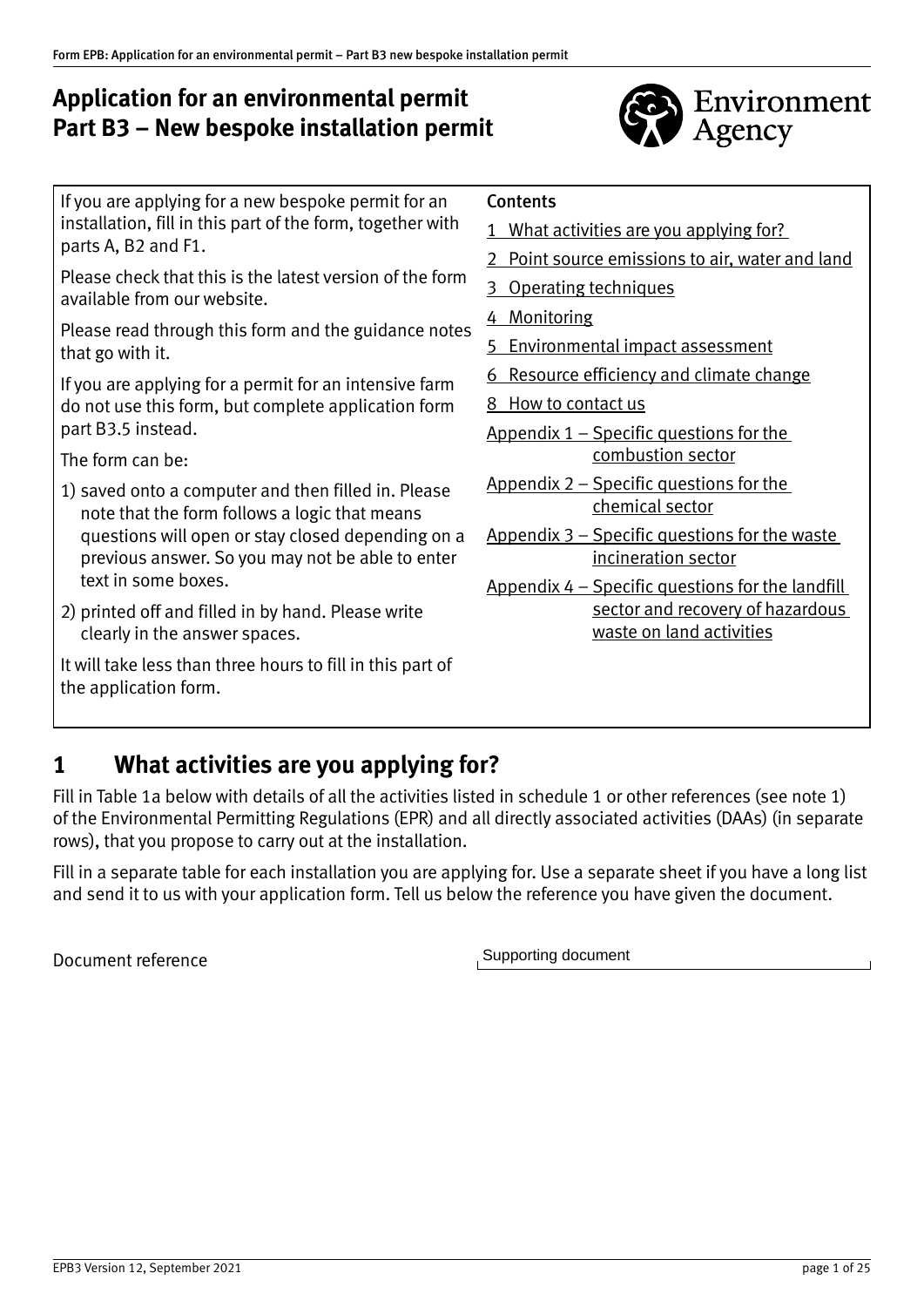# **Application for an environmental permit Part B3 – New bespoke installation permit**



If you are applying for a new bespoke permit for an installation, fill in this part of the form, together with parts A, B2 and F1.

Please check that this is the latest version of the form available from our website.

Please read through this form and the guidance notes that go with it.

If you are applying for a permit for an intensive farm do not use this form, but complete application form part B3.5 instead.

The form can be:

- 1) saved onto a computer and then filled in. Please note that the form follows a logic that means questions will open or stay closed depending on a previous answer. So you may not be able to enter text in some boxes.
- 2) printed off and filled in by hand. Please write clearly in the answer spaces.

It will take less than three hours to fill in this part of the application form.

### **Contents**

- 1 What activities are you applying for?
- [2 Point source emissions to air, water and land](#page-4-0)
- 3 [Operating techniques](#page-5-0)
- 4 [Monitoring](#page-8-0)
- 5 [Environmental impact assessment](#page-9-0)
- 6 [Resource efficiency and climate change](#page-9-0)
- 8 [How to contact us](#page-11-0)
- [Appendix 1 Specific questions for the](#page-12-0)  [combustion sector](#page-12-0)
- [Appendix 2 Specific questions for the](#page-17-0)  [chemical sector](#page-17-0)
- [Appendix 3 Specific questions for the waste](#page-18-0)  [incineration sector](#page-18-0)
- [Appendix 4 Specific questions for the landfill](#page-23-0)  [sector and recovery of hazardous](#page-23-0)  [waste on land activities](#page-23-0)

# **1 What activities are you applying for?**

Fill in Table 1a below with details of all the activities listed in schedule 1 or other references (see note 1) of the Environmental Permitting Regulations (EPR) and all directly associated activities (DAAs) (in separate rows), that you propose to carry out at the installation.

Fill in a separate table for each installation you are applying for. Use a separate sheet if you have a long list and send it to us with your application form. Tell us below the reference you have given the document.

Document reference

Supporting document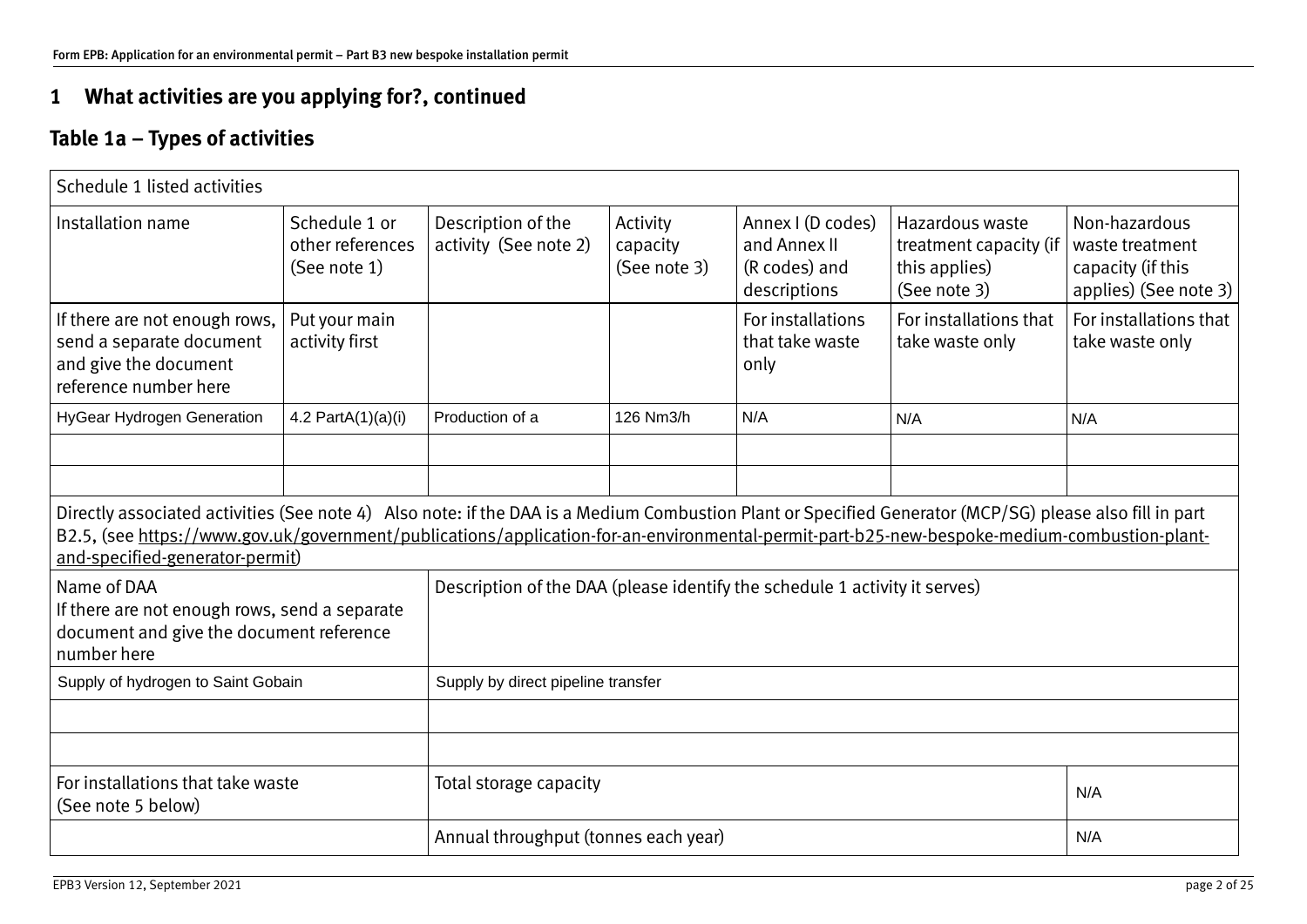# **1 What activities are you applying for?, continued**

# **Table 1a – Types of activities**

| Schedule 1 listed activities                                                                                                                                                                                                                                                                                                                                                                                                                                                                                                                       |                                                   |                                             |                                      |                                                                    |                                                                            |                                                                                |
|----------------------------------------------------------------------------------------------------------------------------------------------------------------------------------------------------------------------------------------------------------------------------------------------------------------------------------------------------------------------------------------------------------------------------------------------------------------------------------------------------------------------------------------------------|---------------------------------------------------|---------------------------------------------|--------------------------------------|--------------------------------------------------------------------|----------------------------------------------------------------------------|--------------------------------------------------------------------------------|
| Installation name                                                                                                                                                                                                                                                                                                                                                                                                                                                                                                                                  | Schedule 1 or<br>other references<br>(See note 1) | Description of the<br>activity (See note 2) | Activity<br>capacity<br>(See note 3) | Annex I (D codes)<br>and Annex II<br>(R codes) and<br>descriptions | Hazardous waste<br>treatment capacity (if<br>this applies)<br>(See note 3) | Non-hazardous<br>waste treatment<br>capacity (if this<br>applies) (See note 3) |
| If there are not enough rows,<br>send a separate document<br>and give the document<br>reference number here                                                                                                                                                                                                                                                                                                                                                                                                                                        | Put your main<br>activity first                   |                                             |                                      | For installations<br>that take waste<br>only                       | For installations that<br>take waste only                                  | For installations that<br>take waste only                                      |
| <b>HyGear Hydrogen Generation</b>                                                                                                                                                                                                                                                                                                                                                                                                                                                                                                                  | 4.2 PartA $(1)(a)(i)$                             | Production of a                             | 126 Nm3/h                            | N/A                                                                | N/A                                                                        | N/A                                                                            |
| Directly associated activities (See note 4) Also note: if the DAA is a Medium Combustion Plant or Specified Generator (MCP/SG) please also fill in part<br>B2.5, (see https://www.gov.uk/government/publications/application-for-an-environmental-permit-part-b25-new-bespoke-medium-combustion-plant-<br>and-specified-generator-permit)<br>Name of DAA<br>Description of the DAA (please identify the schedule 1 activity it serves)<br>If there are not enough rows, send a separate<br>document and give the document reference<br>number here |                                                   |                                             |                                      |                                                                    |                                                                            |                                                                                |
| Supply of hydrogen to Saint Gobain                                                                                                                                                                                                                                                                                                                                                                                                                                                                                                                 |                                                   | Supply by direct pipeline transfer          |                                      |                                                                    |                                                                            |                                                                                |
|                                                                                                                                                                                                                                                                                                                                                                                                                                                                                                                                                    |                                                   |                                             |                                      |                                                                    |                                                                            |                                                                                |
| For installations that take waste<br>(See note 5 below)                                                                                                                                                                                                                                                                                                                                                                                                                                                                                            |                                                   | Total storage capacity<br>N/A               |                                      |                                                                    |                                                                            |                                                                                |
|                                                                                                                                                                                                                                                                                                                                                                                                                                                                                                                                                    |                                                   | Annual throughput (tonnes each year)<br>N/A |                                      |                                                                    |                                                                            |                                                                                |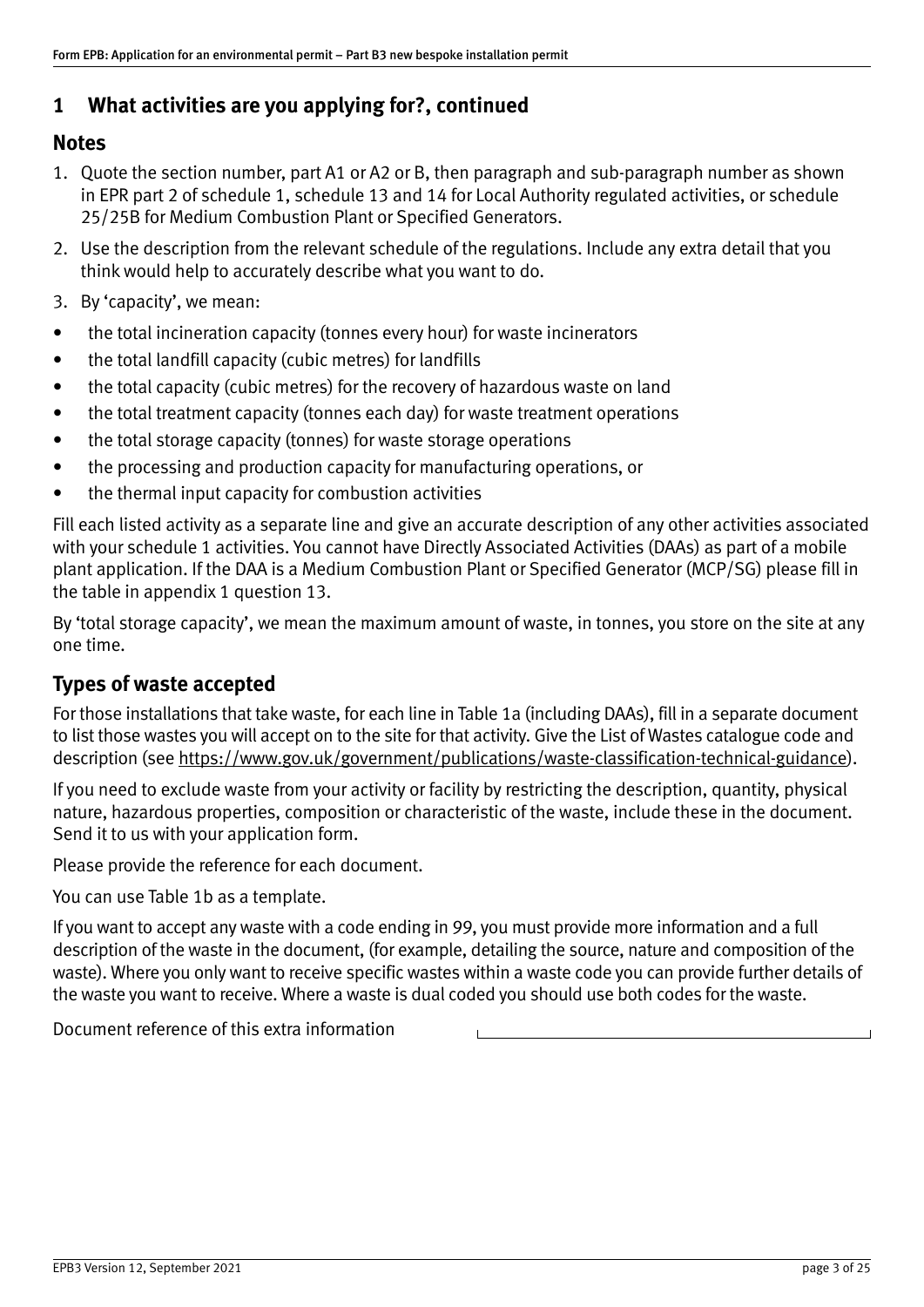# **1 What activities are you applying for?, continued**

### **Notes**

- 1. Quote the section number, part A1 or A2 or B, then paragraph and sub‐paragraph number as shown in EPR part 2 of schedule 1, schedule 13 and 14 for Local Authority regulated activities, or schedule 25/25B for Medium Combustion Plant or Specified Generators.
- 2. Use the description from the relevant schedule of the regulations. Include any extra detail that you think would help to accurately describe what you want to do.
- 3. By 'capacity', we mean:
- the total incineration capacity (tonnes every hour) for waste incinerators
- the total landfill capacity (cubic metres) for landfills
- the total capacity (cubic metres) for the recovery of hazardous waste on land
- the total treatment capacity (tonnes each day) for waste treatment operations
- the total storage capacity (tonnes) for waste storage operations
- the processing and production capacity for manufacturing operations, or
- the thermal input capacity for combustion activities

Fill each listed activity as a separate line and give an accurate description of any other activities associated with your schedule 1 activities. You cannot have Directly Associated Activities (DAAs) as part of a mobile plant application. If the DAA is a Medium Combustion Plant or Specified Generator (MCP/SG) please fill in the table in appendix 1 question 13.

By 'total storage capacity', we mean the maximum amount of waste, in tonnes, you store on the site at any one time.

## **Types of waste accepted**

For those installations that take waste, for each line in Table 1a (including DAAs), fill in a separate document to list those wastes you will accept on to the site for that activity. Give the List of Wastes catalogue code and description (see [https://www.gov.uk/government/publications/waste](https://www.gov.uk/government/publications/waste-classification-technical-guidance)‐classification‐technical‐guidance).

If you need to exclude waste from your activity or facility by restricting the description, quantity, physical nature, hazardous properties, composition or characteristic of the waste, include these in the document. Send it to us with your application form.

Please provide the reference for each document.

You can use Table 1b as a template.

If you want to accept any waste with a code ending in 99, you must provide more information and a full description of the waste in the document, (for example, detailing the source, nature and composition of the waste). Where you only want to receive specific wastes within a waste code you can provide further details of the waste you want to receive. Where a waste is dual coded you should use both codes for the waste.

Document reference of this extra information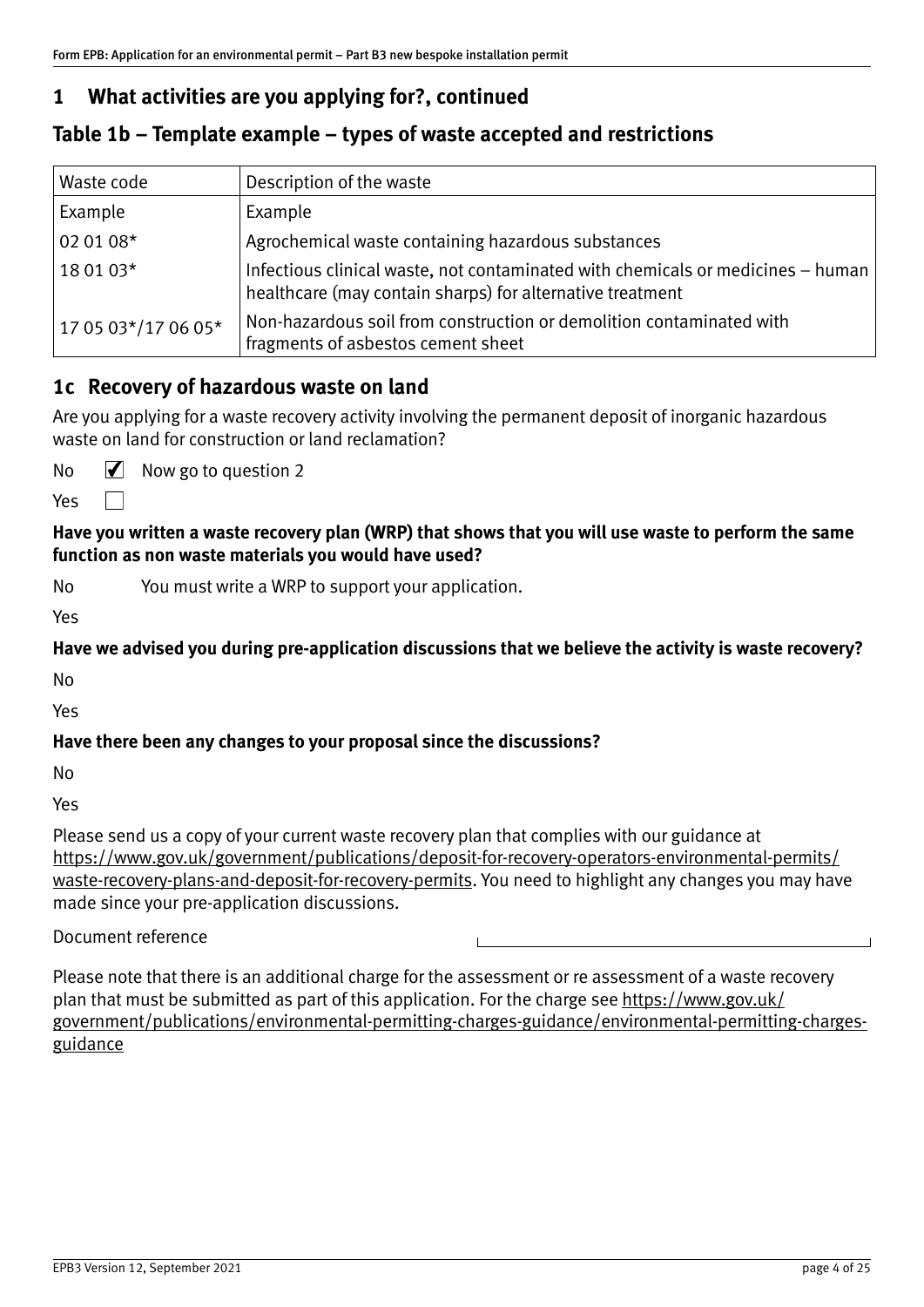# **1 What activities are you applying for?, continued**

### **Table 1b – Template example – types of waste accepted and restrictions**

| Waste code          | Description of the waste                                                                                                                     |
|---------------------|----------------------------------------------------------------------------------------------------------------------------------------------|
| Example             | Example                                                                                                                                      |
| 02 01 08*           | Agrochemical waste containing hazardous substances                                                                                           |
| 18 01 03*           | Infectious clinical waste, not contaminated with chemicals or medicines – human<br>healthcare (may contain sharps) for alternative treatment |
| 17 05 03*/17 06 05* | Non-hazardous soil from construction or demolition contaminated with<br>fragments of asbestos cement sheet                                   |

#### **1c Recovery of hazardous waste on land**

Are you applying for a waste recovery activity involving the permanent deposit of inorganic hazardous waste on land for construction or land reclamation?

No  $\sqrt{\phantom{a}}$  Now go to question 2

 $\Box$ Yes

**Have you written a waste recovery plan (WRP) that shows that you will use waste to perform the same function as non waste materials you would have used?**

No You must write a WRP to support your application.

Yes

**Have we advised you during pre‐application discussions that we believe the activity is waste recovery?**

No

Yes

#### **Have there been any changes to your proposal since the discussions?**

No

Yes

Please send us a copy of your current waste recovery plan that complies with our guidance at https://www.gov.uk[/government/publications/deposit‐for‐recovery‐operators‐environmental‐permits/](https://www.gov.uk/government/publications/deposit-for-recovery-operators-environmental-permits/waste-recovery-plans-and-deposit-for-recovery-permits) waste-recovery-plans-and-deposit-for-recovery-permits. You need to highlight any changes you may have made since your pre‐application discussions.

#### Document reference

Please note that there is an additional charge for the assessment or re assessment of a waste recovery plan that must be submitted as part of this application. For the charge see [https://www.gov.uk/](https://www.gov.uk/government/publications/environmental-permitting-charges-guidance/environmental-permitting-charges-guidance) [government/publications/environmental‐permitting‐charges‐guidance/environmental‐permitting‐charges‐](https://www.gov.uk/government/publications/environmental-permitting-charges-guidance/environmental-permitting-charges-guidance) [guidance](https://www.gov.uk/government/publications/environmental-permitting-charges-guidance/environmental-permitting-charges-guidance)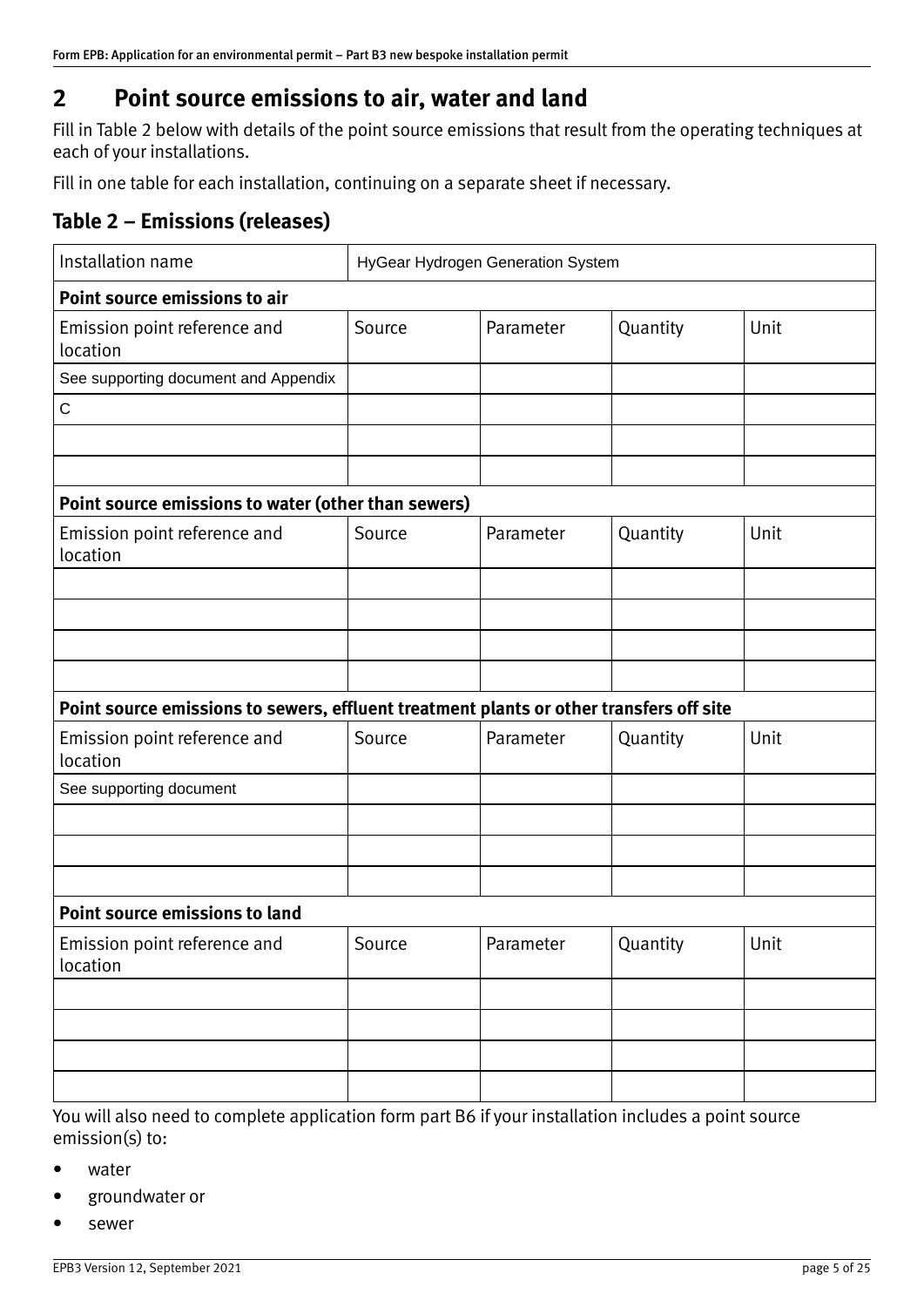# <span id="page-4-0"></span>**2 Point source emissions to air, water and land**

Fill in Table 2 below with details of the point source emissions that result from the operating techniques at each of your installations.

Fill in one table for each installation, continuing on a separate sheet if necessary.

# **Table 2 – Emissions (releases)**

| Installation name                                                                       | HyGear Hydrogen Generation System |           |          |      |
|-----------------------------------------------------------------------------------------|-----------------------------------|-----------|----------|------|
| Point source emissions to air                                                           |                                   |           |          |      |
| Emission point reference and<br>location                                                | Source                            | Parameter | Quantity | Unit |
| See supporting document and Appendix                                                    |                                   |           |          |      |
| $\mathsf C$                                                                             |                                   |           |          |      |
|                                                                                         |                                   |           |          |      |
|                                                                                         |                                   |           |          |      |
| Point source emissions to water (other than sewers)                                     |                                   |           |          |      |
| Emission point reference and<br>location                                                | Source                            | Parameter | Quantity | Unit |
|                                                                                         |                                   |           |          |      |
|                                                                                         |                                   |           |          |      |
|                                                                                         |                                   |           |          |      |
|                                                                                         |                                   |           |          |      |
| Point source emissions to sewers, effluent treatment plants or other transfers off site |                                   |           |          |      |
| Emission point reference and<br>location                                                | Source                            | Parameter | Quantity | Unit |
| See supporting document                                                                 |                                   |           |          |      |
|                                                                                         |                                   |           |          |      |
|                                                                                         |                                   |           |          |      |
|                                                                                         |                                   |           |          |      |
| <b>Point source emissions to land</b>                                                   |                                   |           |          |      |
| Emission point reference and<br>location                                                | Source                            | Parameter | Quantity | Unit |
|                                                                                         |                                   |           |          |      |
|                                                                                         |                                   |           |          |      |
|                                                                                         |                                   |           |          |      |
|                                                                                         |                                   |           |          |      |

You will also need to complete application form part B6 if your installation includes a point source emission(s) to:

- water
- groundwater or
- sewer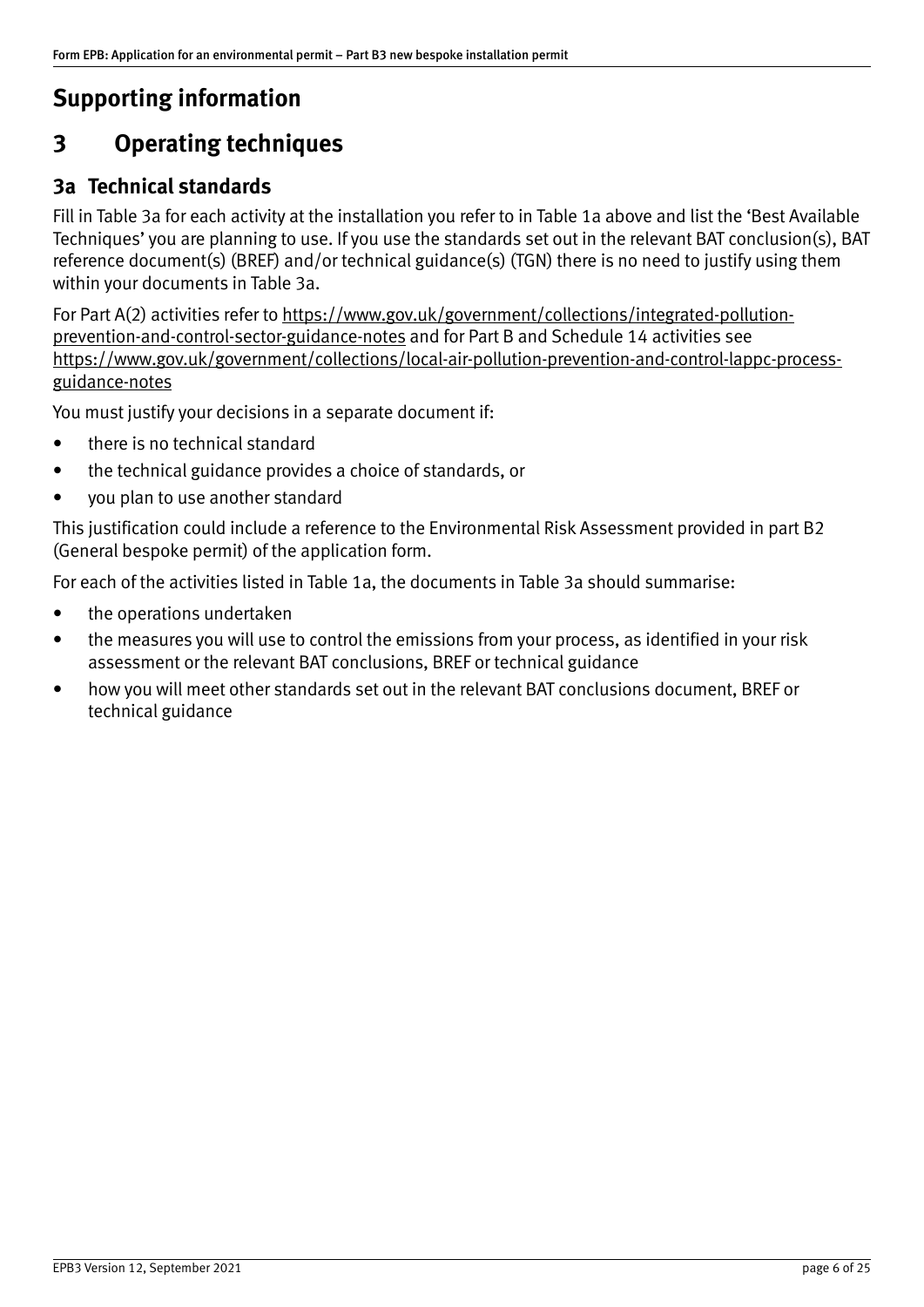# <span id="page-5-0"></span>**Supporting information**

# **3 Operating techniques**

## **3a Technical standards**

Fill in Table 3a for each activity at the installation you refer to in Table 1a above and list the 'Best Available Techniques' you are planning to use. If you use the standards set out in the relevan[t BAT conclusion\(s\), BAT](http://eippcb.jrc.ec.europa.eu/reference)  [reference document\(s\) \(BREF\) a](http://eippcb.jrc.ec.europa.eu/reference)nd/o[r technical guidance\(s\) \(TGN\) t](https://www.gov.uk/government/collections/technical-guidance-for-regulated-industry-sectors-environmental-permitting)here is no need to justify using them within your documents in Table 3a.

For Part A(2) activities refer to [https://www.gov.uk/government/collections/integrated‐pollution‐](https://www.gov.uk/government/collections/integrated-pollution-prevention-and-control-sector-guidance-notes) [prevention‐and‐control‐sector‐guidance‐notes](https://www.gov.uk/government/collections/integrated-pollution-prevention-and-control-sector-guidance-notes) and for Part B and Schedule 14 activities see https://www.gov.uk/government/collections/local-air-pollution-prevention-and-control-lappc-process[guidance‐notes](https://www.gov.uk/government/collections/local-air-pollution-prevention-and-control-lappc-process-guidance-notes)

You must justify your decisions in a separate document if:

- there is no technical standard
- the technical guidance provides a choice of standards, or
- you plan to use another standard

This justification could include a reference to the Environmental Risk Assessment provided in part B2 (General bespoke permit) of the application form.

For each of the activities listed in Table 1a, the documents in Table 3a should summarise:

- the operations undertaken
- the measures you will use to control the emissions from your process, as identified in your risk assessment or the relevant BAT conclusions, BREF or technical guidance
- how you will meet other standards set out in the relevant BAT conclusions document, BREF or technical guidance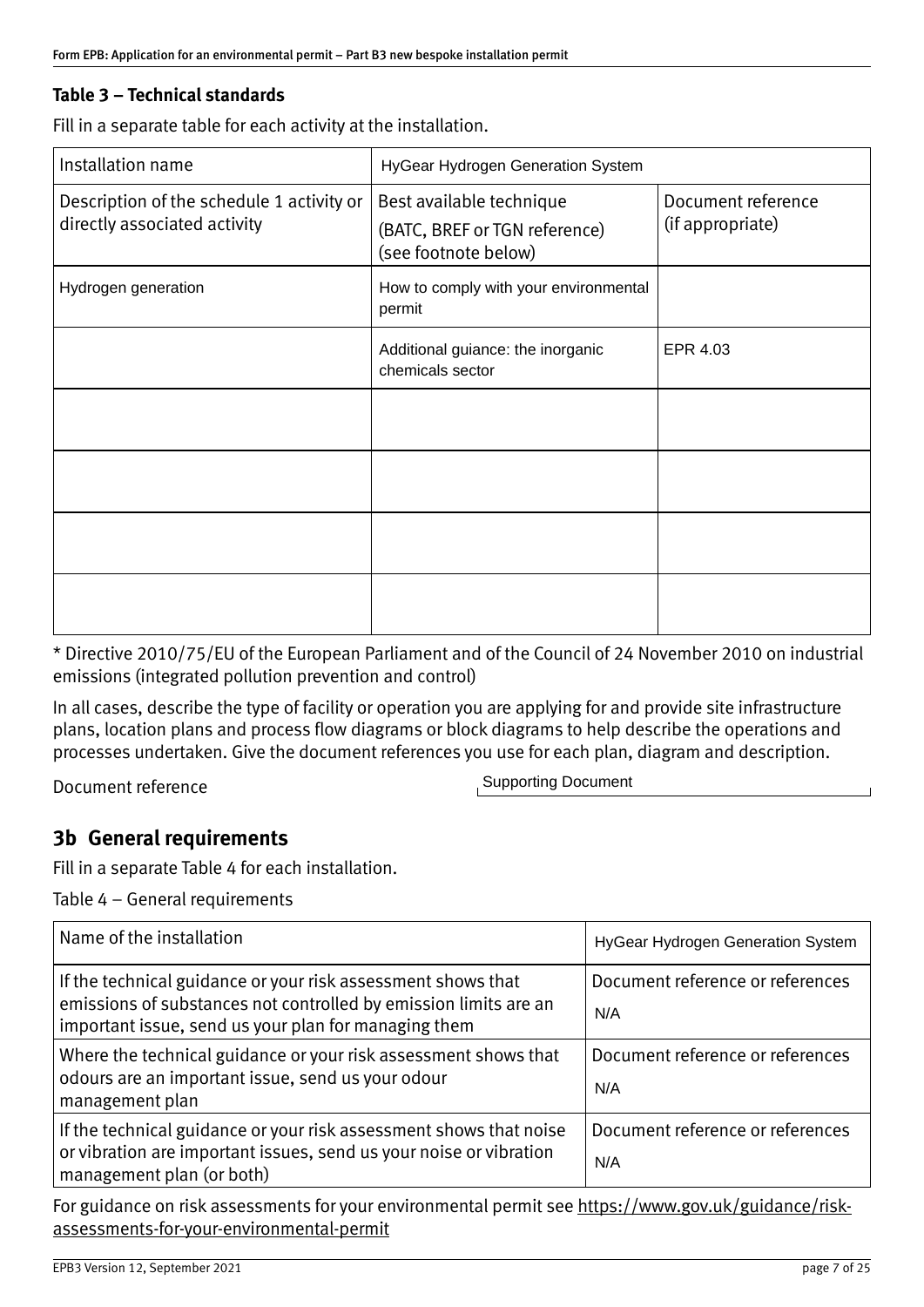#### **Table 3 – Technical standards**

Fill in a separate table for each activity at the installation.

| Installation name                                                         | HyGear Hydrogen Generation System                                                 |                                        |  |
|---------------------------------------------------------------------------|-----------------------------------------------------------------------------------|----------------------------------------|--|
| Description of the schedule 1 activity or<br>directly associated activity | Best available technique<br>(BATC, BREF or TGN reference)<br>(see footnote below) | Document reference<br>(if appropriate) |  |
| Hydrogen generation                                                       | How to comply with your environmental<br>permit                                   |                                        |  |
|                                                                           | Additional guiance: the inorganic<br>chemicals sector                             | EPR 4.03                               |  |
|                                                                           |                                                                                   |                                        |  |
|                                                                           |                                                                                   |                                        |  |
|                                                                           |                                                                                   |                                        |  |
|                                                                           |                                                                                   |                                        |  |

\* Directive 2010/75/EU of the European Parliament and of the Council of 24 November 2010 on industrial emissions (integrated pollution prevention and control)

In all cases, describe the type of facility or operation you are applying for and provide site infrastructure plans, location plans and process flow diagrams or block diagrams to help describe the operations and processes undertaken. Give the document references you use for each plan, diagram and description.

Document reference

Supporting Document

### **3b General requirements**

Fill in a separate Table 4 for each installation.

Table 4 – General requirements

| Name of the installation                                                                                                                                                                 | HyGear Hydrogen Generation System       |
|------------------------------------------------------------------------------------------------------------------------------------------------------------------------------------------|-----------------------------------------|
| If the technical guidance or your risk assessment shows that<br>emissions of substances not controlled by emission limits are an<br>important issue, send us your plan for managing them | Document reference or references<br>N/A |
| Where the technical guidance or your risk assessment shows that<br>odours are an important issue, send us your odour<br>management plan                                                  | Document reference or references<br>N/A |
| If the technical guidance or your risk assessment shows that noise<br>or vibration are important issues, send us your noise or vibration<br>management plan (or both)                    | Document reference or references<br>N/A |

For guidance on risk assessments for your environmental permit see [https://www.gov.uk/guidance/risk](https://www.gov.uk/guidance/risk-assessments-for-your-environmental-permit)assessments‐for‐your‐[environmental](https://www.gov.uk/guidance/risk-assessments-for-your-environmental-permit)‐permit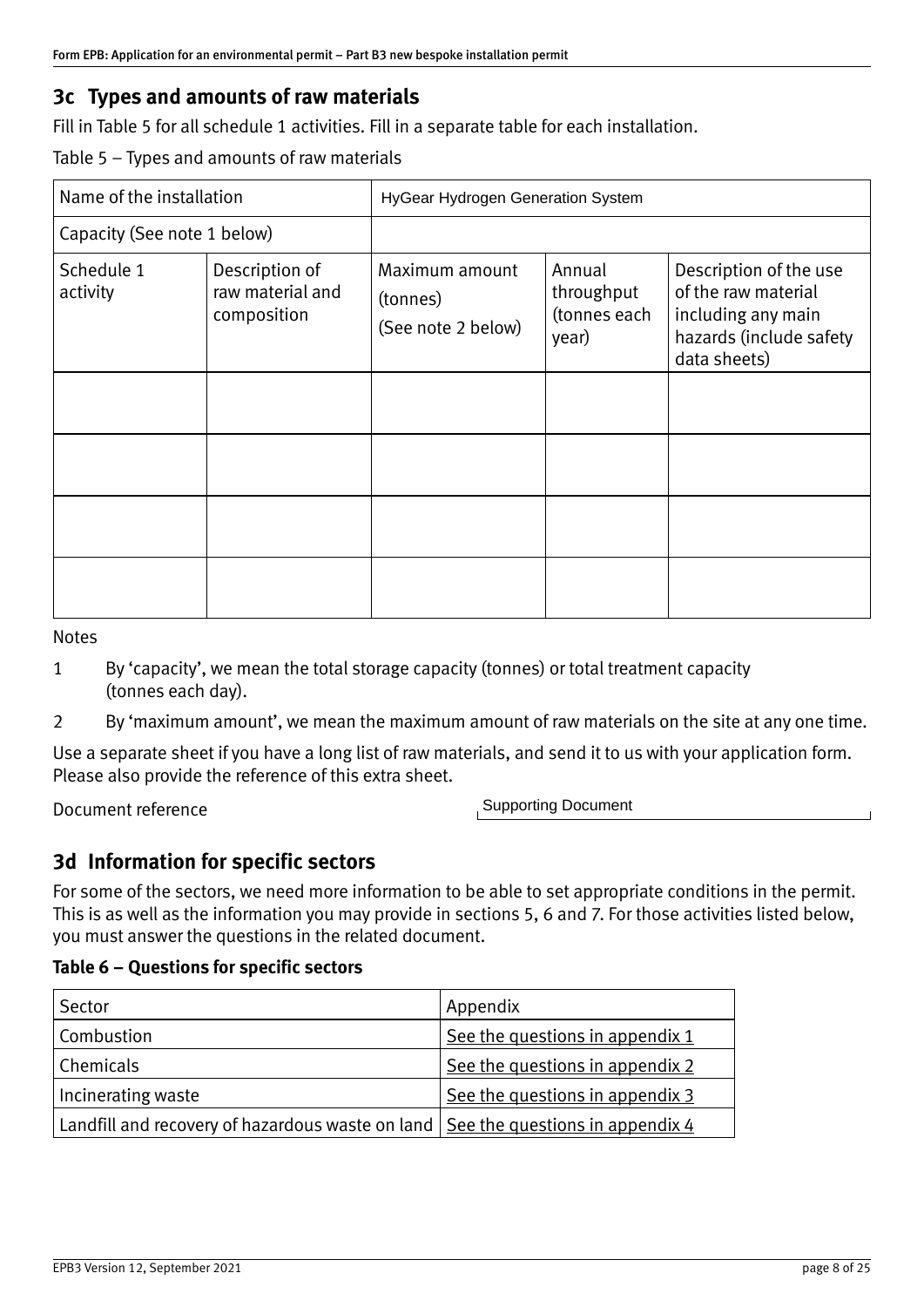# **3c Types and amounts of raw materials**

Fill in Table 5 for all schedule 1 activities. Fill in a separate table for each installation.

Table 5 – Types and amounts of raw materials

| Name of the installation    |                                                   | HyGear Hydrogen Generation System                |                                               |                                                                                                                |  |
|-----------------------------|---------------------------------------------------|--------------------------------------------------|-----------------------------------------------|----------------------------------------------------------------------------------------------------------------|--|
| Capacity (See note 1 below) |                                                   |                                                  |                                               |                                                                                                                |  |
| Schedule 1<br>activity      | Description of<br>raw material and<br>composition | Maximum amount<br>(tonnes)<br>(See note 2 below) | Annual<br>throughput<br>(tonnes each<br>year) | Description of the use<br>of the raw material<br>including any main<br>hazards (include safety<br>data sheets) |  |
|                             |                                                   |                                                  |                                               |                                                                                                                |  |
|                             |                                                   |                                                  |                                               |                                                                                                                |  |
|                             |                                                   |                                                  |                                               |                                                                                                                |  |
|                             |                                                   |                                                  |                                               |                                                                                                                |  |

Notes

- 1 By 'capacity', we mean the total storage capacity (tonnes) or total treatment capacity (tonnes each day).
- 2 By 'maximum amount', we mean the maximum amount of raw materials on the site at any one time.

Use a separate sheet if you have a long list of raw materials, and send it to us with your application form. Please also provide the reference of this extra sheet.

Document reference

Supporting Document

## **3d Information for specific sectors**

For some of the sectors, we need more information to be able to set appropriate conditions in the permit. This is as well as the information you may provide in sections 5, 6 and 7. For those activities listed below, you must answer the questions in the related document.

#### **Table 6 – Questions for specific sectors**

| Sector                                                                                   | Appendix                        |
|------------------------------------------------------------------------------------------|---------------------------------|
| Combustion                                                                               | See the questions in appendix 1 |
| Chemicals                                                                                | See the questions in appendix 2 |
| Incinerating waste                                                                       | See the questions in appendix 3 |
| Landfill and recovery of hazardous waste on land $\vert$ See the questions in appendix 4 |                                 |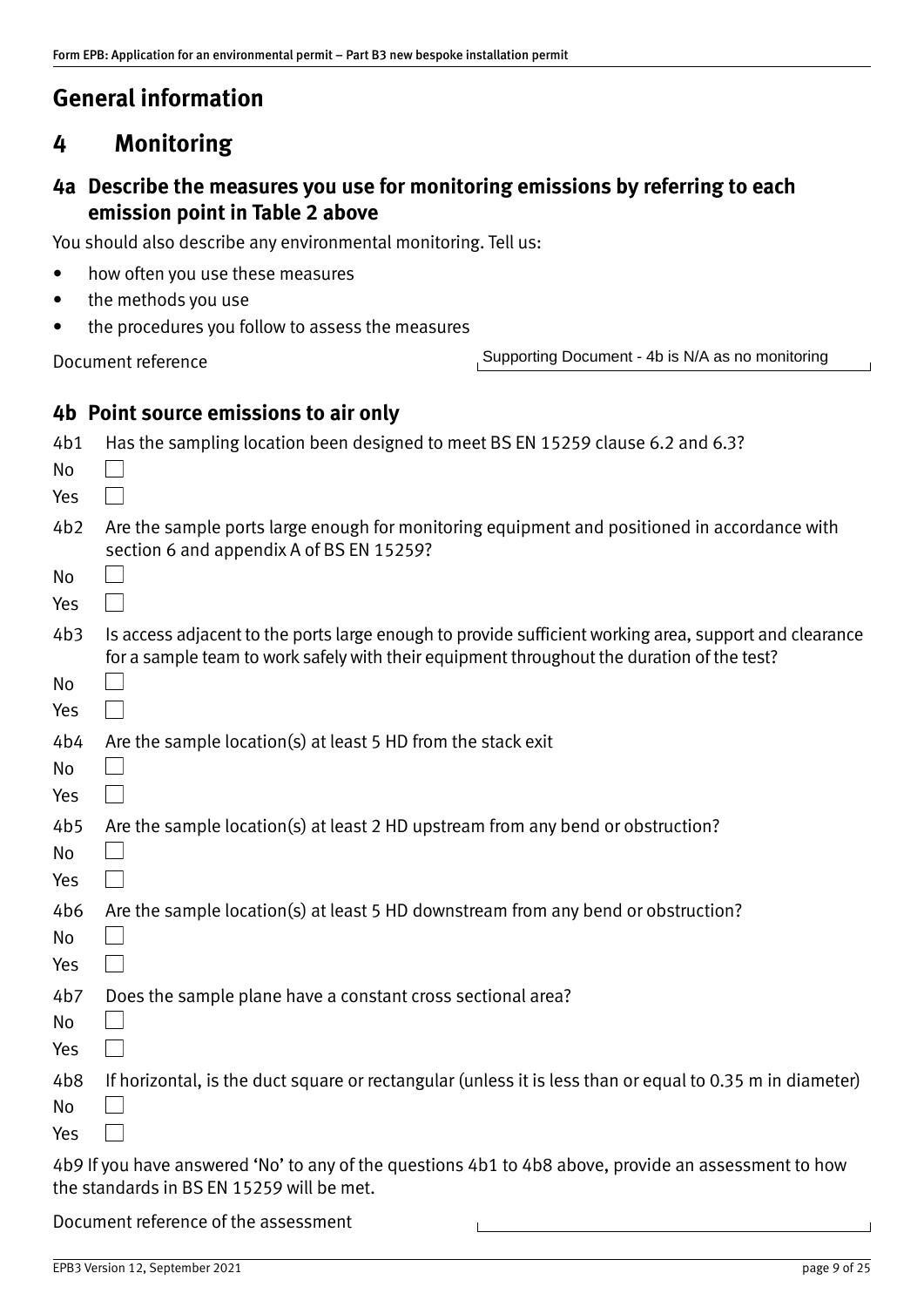# <span id="page-8-0"></span>**General information**

# **4 Monitoring**

# **4a Describe the measures you use for monitoring emissions by referring to each emission point in Table 2 above**

You should also describe any environmental monitoring. Tell us:

- how often you use these measures
- the methods you use
- the procedures you follow to assess the measures

Document reference

Supporting Document - 4b is N/A as no monitoring

# **4b Point source emissions to air only**

| 4b1<br>No<br>Yes             | Has the sampling location been designed to meet BS EN 15259 clause 6.2 and 6.3?                                                                                                                      |
|------------------------------|------------------------------------------------------------------------------------------------------------------------------------------------------------------------------------------------------|
| 4b2                          | Are the sample ports large enough for monitoring equipment and positioned in accordance with<br>section 6 and appendix A of BS EN 15259?                                                             |
| No<br>Yes                    |                                                                                                                                                                                                      |
| 4b3                          | Is access adjacent to the ports large enough to provide sufficient working area, support and clearance<br>for a sample team to work safely with their equipment throughout the duration of the test? |
| No<br>Yes                    |                                                                                                                                                                                                      |
| 4b4<br>No                    | Are the sample location(s) at least 5 HD from the stack exit                                                                                                                                         |
| Yes                          |                                                                                                                                                                                                      |
| 4b5<br>No                    | Are the sample location(s) at least 2 HD upstream from any bend or obstruction?                                                                                                                      |
| Yes                          |                                                                                                                                                                                                      |
| 4b6<br>No<br>Yes             | Are the sample location(s) at least 5 HD downstream from any bend or obstruction?                                                                                                                    |
| 4 <sub>b7</sub><br>No<br>Yes | Does the sample plane have a constant cross sectional area?                                                                                                                                          |
| 4b8<br>No                    | If horizontal, is the duct square or rectangular (unless it is less than or equal to 0.35 m in diameter)                                                                                             |
| Yes                          |                                                                                                                                                                                                      |
|                              | 4b9 If you have answered 'No' to any of the questions 4b1 to 4b8 above, provide an assessment to how                                                                                                 |

the standards in BS EN 15259 will be met.

Document reference of the assessment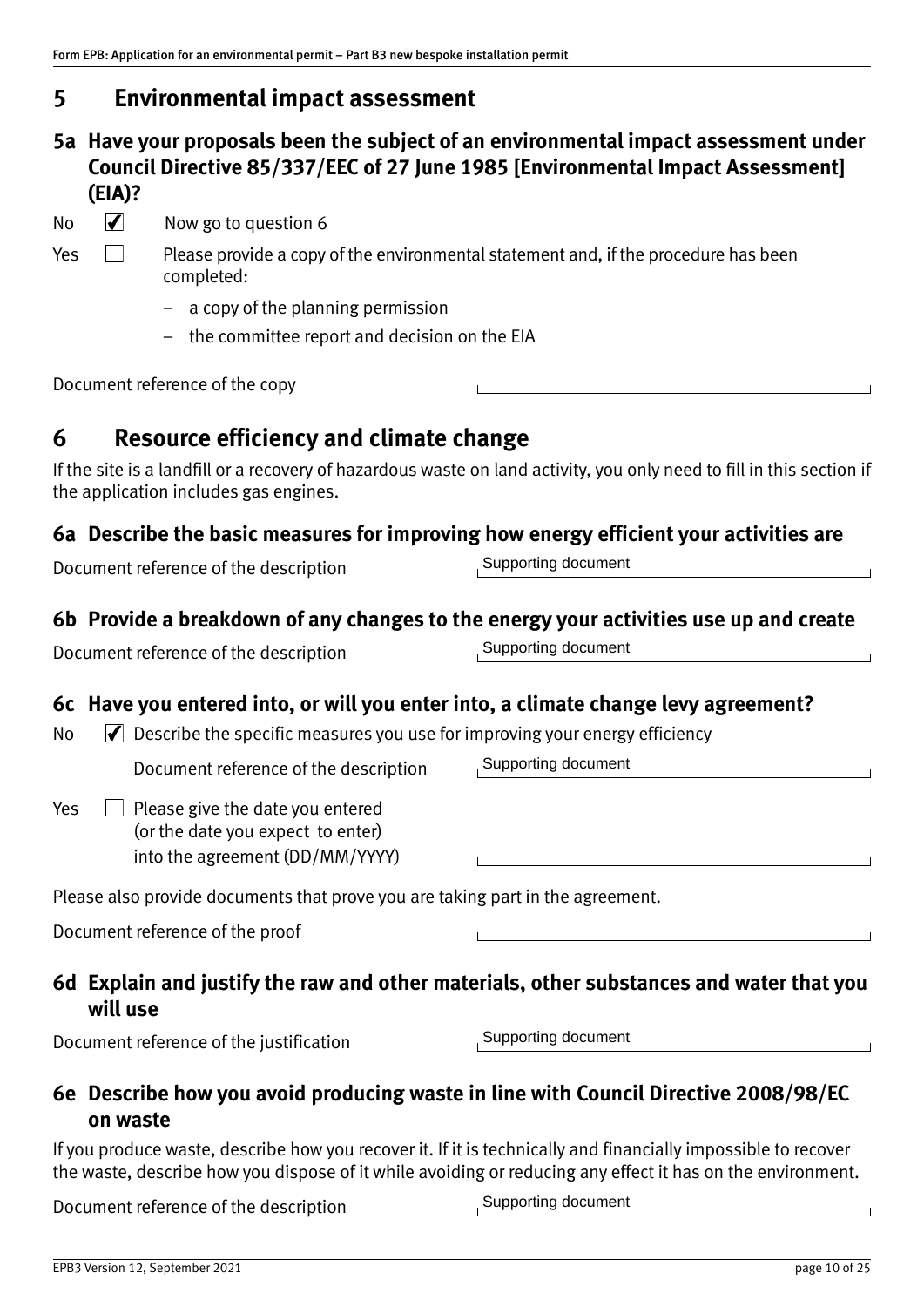# <span id="page-9-0"></span>**5 Environmental impact assessment**

**5a Have your proposals been the subject of an environmental impact assessment under Council Directive 85/337/EEC of 27 June 1985 [Environmental Impact Assessment] (EIA)?**

No  $\sqrt{\phantom{a}}$  Now go to question 6

- 
- $Yes \Box$  Please provide a copy of the environmental statement and, if the procedure has been completed:
	- a copy of the planning permission
	- the committee report and decision on the EIA

Document reference of the copy

# **6 Resource efficiency and climate change**

If the site is a landfill or a recovery of hazardous waste on land activity, you only need to fill in this section if the application includes gas engines.

# **6a Describe the basic measures for improving how energy efficient your activities are**

Document reference of the description

Supporting document

# **6b Provide a breakdown of any changes to the energy your activities use up and create**

Document reference of the description

# **6c Have you entered into, or will you enter into, a climate change levy agreement?**

 $\mathbb N$  Describe the specific measures you use for improving your energy efficiency

Document reference of the description

 $Yes \Box$  Please give the date you entered (or the date you expect to enter) into the agreement (DD/MM/YYYY)

Please also provide documents that prove you are taking part in the agreement.

Document reference of the proof

# **6d Explain and justify the raw and other materials, other substances and water that you will use**

Document reference of the justification

Supporting document

Supporting document

# **6e Describe how you avoid producing waste in line with Council Directive 2008/98/EC on waste**

If you produce waste, describe how you recover it. If it is technically and financially impossible to recover the waste, describe how you dispose of it while avoiding or reducing any effect it has on the environment.

Document reference of the description

Supporting document

Supporting document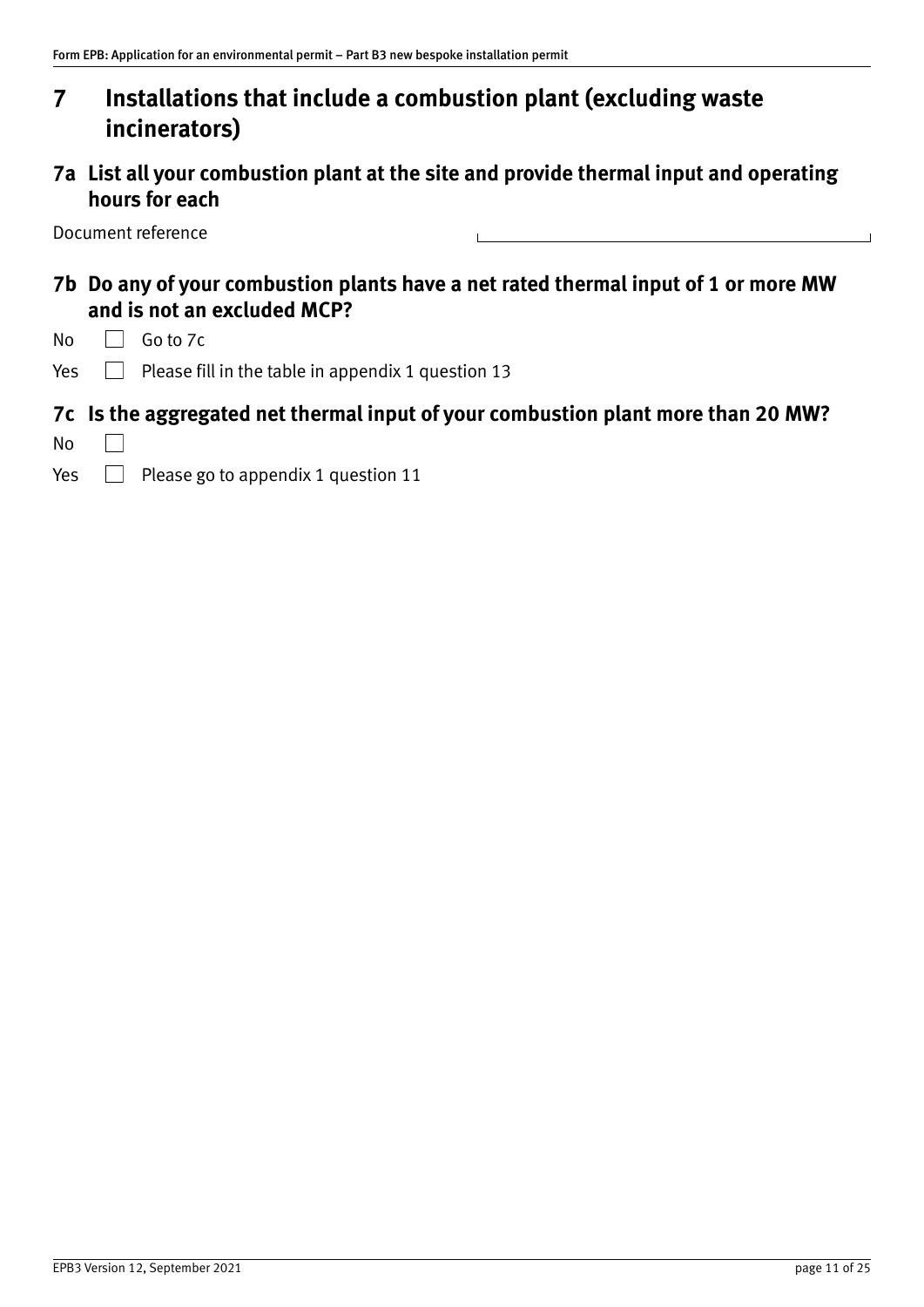# **7 Installations that include a combustion plant (excluding waste incinerators)**

# **7a List all your combustion plant at the site and provide thermal input and operating hours for each**

Document reference

# **7b Do any of your combustion plants have a net rated thermal input of 1 or more MW and is not an excluded MCP?**

- No  $\Box$  Go to 7c
- Yes  $\Box$  Please fill in the table in appendix 1 question 13

### **7c Is the aggregated net thermal input of your combustion plant more than 20 MW?**

- No  $\Box$
- Yes  $\Box$  Please go to appendix 1 question 11

 $\overline{a}$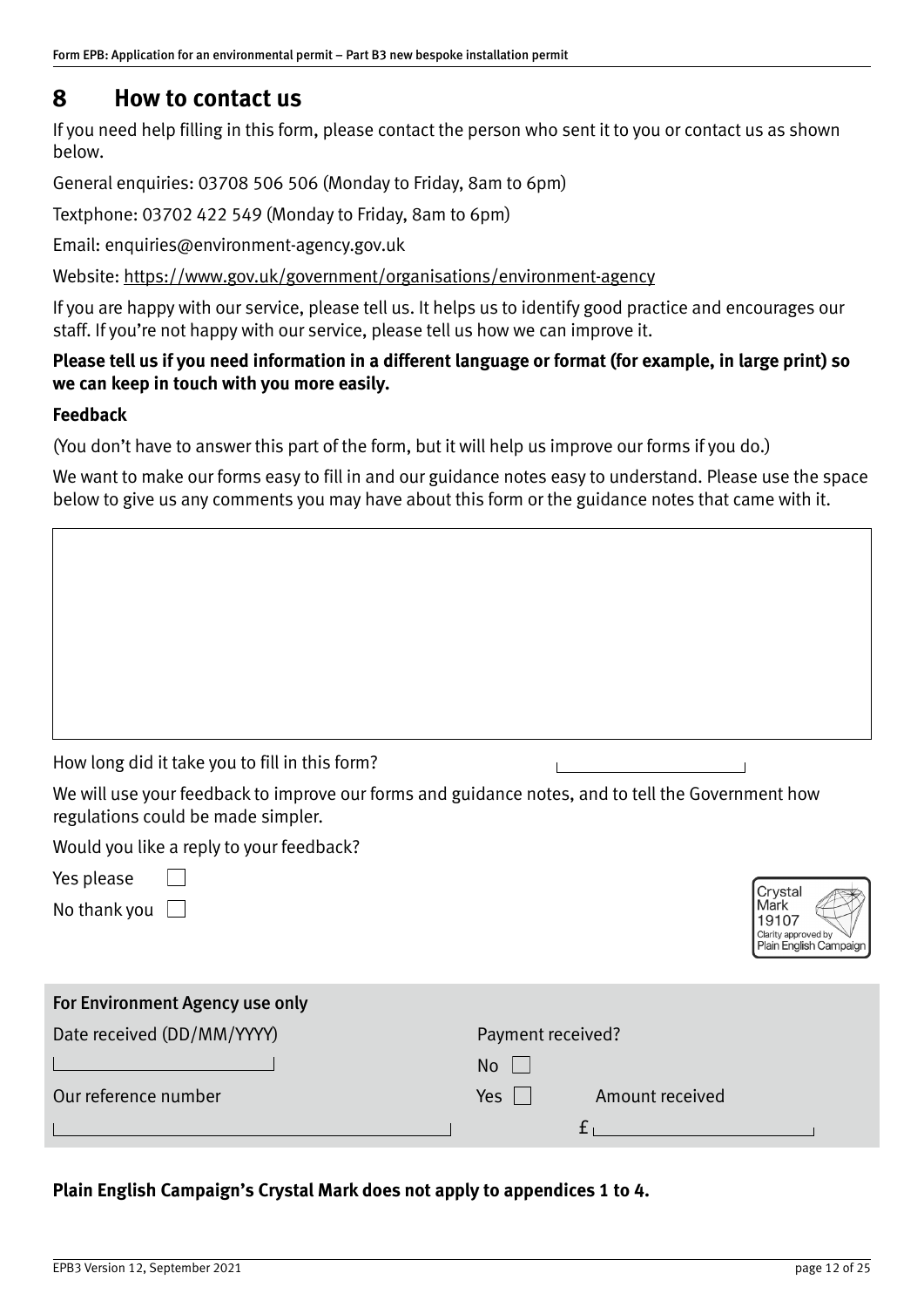# <span id="page-11-0"></span>**8 How to contact us**

If you need help filling in this form, please contact the person who sent it to you or contact us as shown below.

General enquiries: 03708 506 506 (Monday to Friday, 8am to 6pm)

Textphone: 03702 422 549 (Monday to Friday, 8am to 6pm)

Email: enquiries@environment‐agency.gov.uk

Website: [https://www.gov.uk/government/organisations/environment‐agency](https://www.gov.uk/government/organisations/environment-agency)

If you are happy with our service, please tell us. It helps us to identify good practice and encourages our staff. If you're not happy with our service, please tell us how we can improve it.

#### **Please tell us if you need information in a different language or format (for example, in large print) so we can keep in touch with you more easily.**

#### **Feedback**

(You don't have to answer this part of the form, but it will help us improve our forms if you do.)

We want to make our forms easy to fill in and our guidance notes easy to understand. Please use the space below to give us any comments you may have about this form or the guidance notes that came with it.

|  | How long did it take you to fill in this form? |  |
|--|------------------------------------------------|--|

We will use your feedback to improve our forms and guidance notes, and to tell the Government how regulations could be made simpler.

Would you like a reply to your feedback?

| Yes please |
|------------|
|------------|

No thank you  $\Box$ 

| Mark<br>19107                                 |
|-----------------------------------------------|
| Clarity approved by<br>Plain English Campaign |

| For Environment Agency use only |                               |
|---------------------------------|-------------------------------|
| Date received (DD/MM/YYYY)      | Payment received?             |
|                                 | <b>No</b>                     |
| Our reference number            | Yes $\Box$<br>Amount received |
|                                 |                               |

### **Plain English Campaign's Crystal Mark does not apply to appendices 1 to 4.**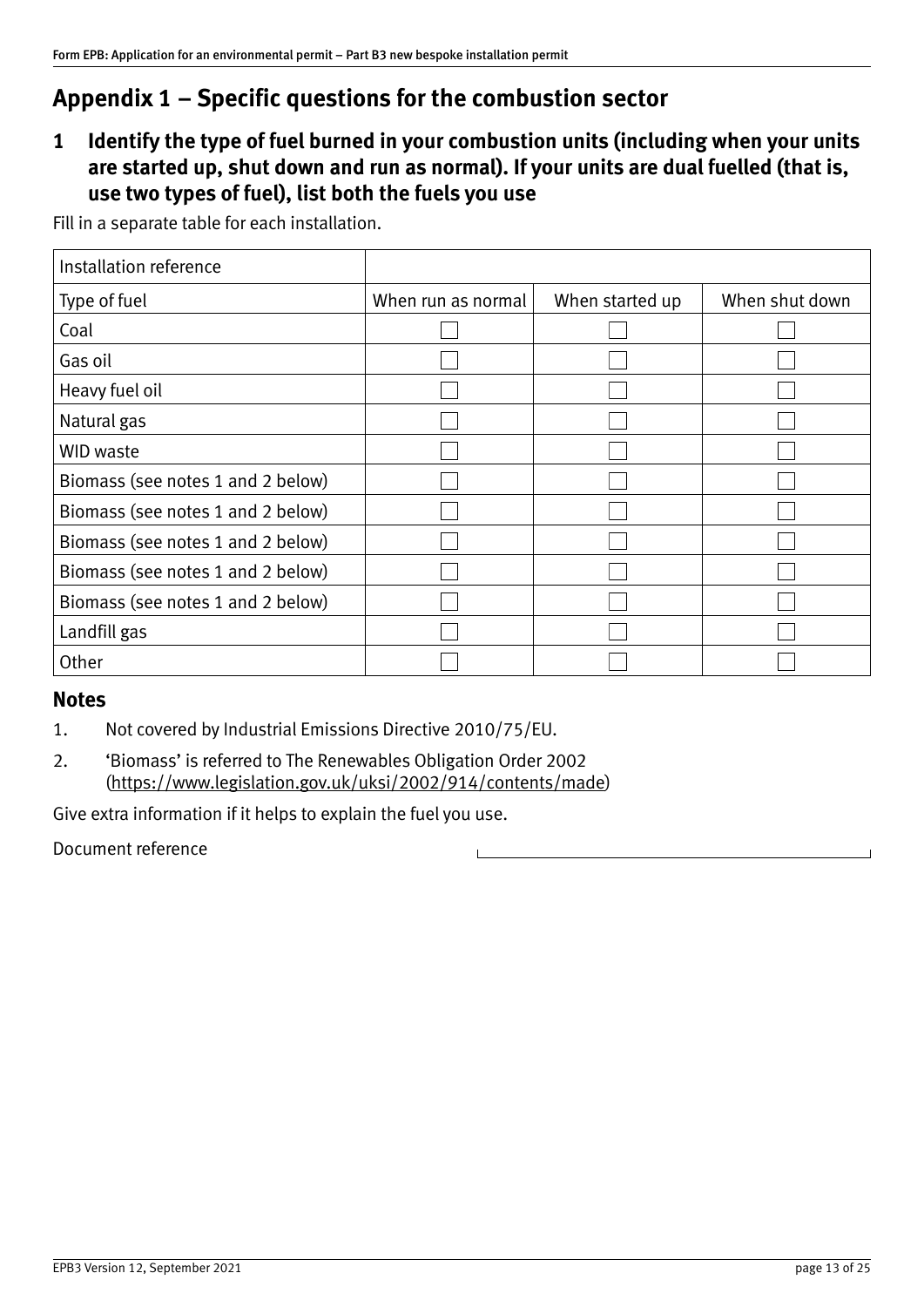## <span id="page-12-1"></span><span id="page-12-0"></span>**1 Identify the type of fuel burned in your combustion units (including when your units are started up, shut down and run as normal). If your units are dual fuelled (that is, use two types of fuel), list both the fuels you use**

Fill in a separate table for each installation.

| Installation reference            |                    |                 |                |
|-----------------------------------|--------------------|-----------------|----------------|
| Type of fuel                      | When run as normal | When started up | When shut down |
| Coal                              |                    |                 |                |
| Gas oil                           |                    |                 |                |
| Heavy fuel oil                    |                    |                 |                |
| Natural gas                       |                    |                 |                |
| WID waste                         |                    |                 |                |
| Biomass (see notes 1 and 2 below) |                    |                 |                |
| Biomass (see notes 1 and 2 below) |                    |                 |                |
| Biomass (see notes 1 and 2 below) |                    |                 |                |
| Biomass (see notes 1 and 2 below) |                    |                 |                |
| Biomass (see notes 1 and 2 below) |                    |                 |                |
| Landfill gas                      |                    |                 |                |
| Other                             |                    |                 |                |

### **Notes**

1. Not covered by Industrial Emissions Directive 2010/75/EU.

2. 'Biomass' is referred to The Renewables Obligation Order 2002 ([https://www.legislation.gov.uk/uksi/2002/914/contents/made\)](https://www.legislation.gov.uk/uksi/2002/914/contents/made)

Give extra information if it helps to explain the fuel you use.

Document reference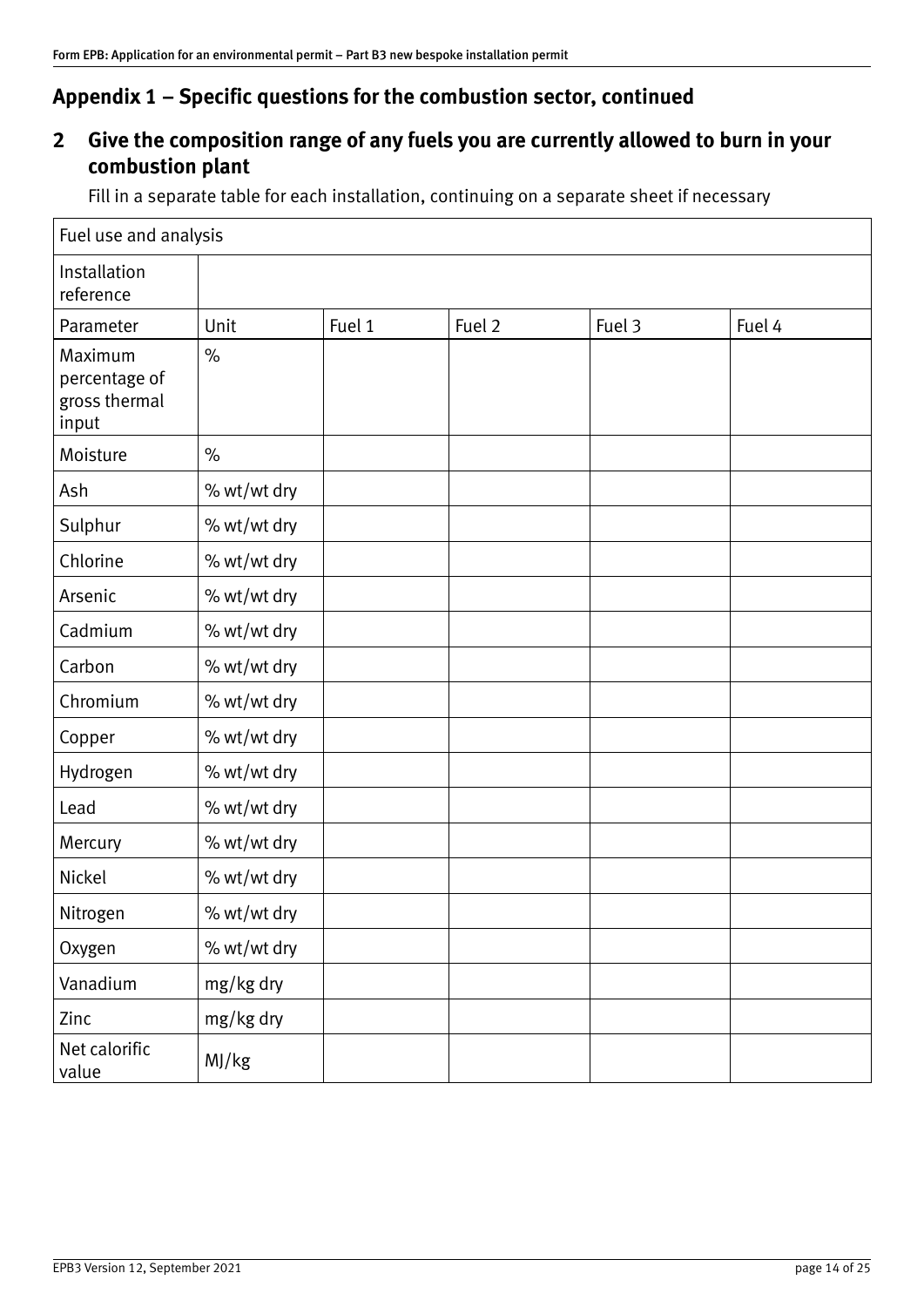# **2 Give the composition range of any fuels you are currently allowed to burn in your combustion plant**

Fill in a separate table for each installation, continuing on a separate sheet if necessary

| Fuel use and analysis                              |             |        |        |        |        |
|----------------------------------------------------|-------------|--------|--------|--------|--------|
| Installation<br>reference                          |             |        |        |        |        |
| Parameter                                          | Unit        | Fuel 1 | Fuel 2 | Fuel 3 | Fuel 4 |
| Maximum<br>percentage of<br>gross thermal<br>input | $\%$        |        |        |        |        |
| Moisture                                           | $\%$        |        |        |        |        |
| Ash                                                | % wt/wt dry |        |        |        |        |
| Sulphur                                            | % wt/wt dry |        |        |        |        |
| Chlorine                                           | % wt/wt dry |        |        |        |        |
| Arsenic                                            | % wt/wt dry |        |        |        |        |
| Cadmium                                            | % wt/wt dry |        |        |        |        |
| Carbon                                             | % wt/wt dry |        |        |        |        |
| Chromium                                           | % wt/wt dry |        |        |        |        |
| Copper                                             | % wt/wt dry |        |        |        |        |
| Hydrogen                                           | % wt/wt dry |        |        |        |        |
| Lead                                               | % wt/wt dry |        |        |        |        |
| Mercury                                            | % wt/wt dry |        |        |        |        |
| Nickel                                             | % wt/wt dry |        |        |        |        |
| Nitrogen                                           | % wt/wt dry |        |        |        |        |
| Oxygen                                             | % wt/wt dry |        |        |        |        |
| Vanadium                                           | mg/kg dry   |        |        |        |        |
| Zinc                                               | mg/kg dry   |        |        |        |        |
| Net calorific<br>value                             | MJ/kg       |        |        |        |        |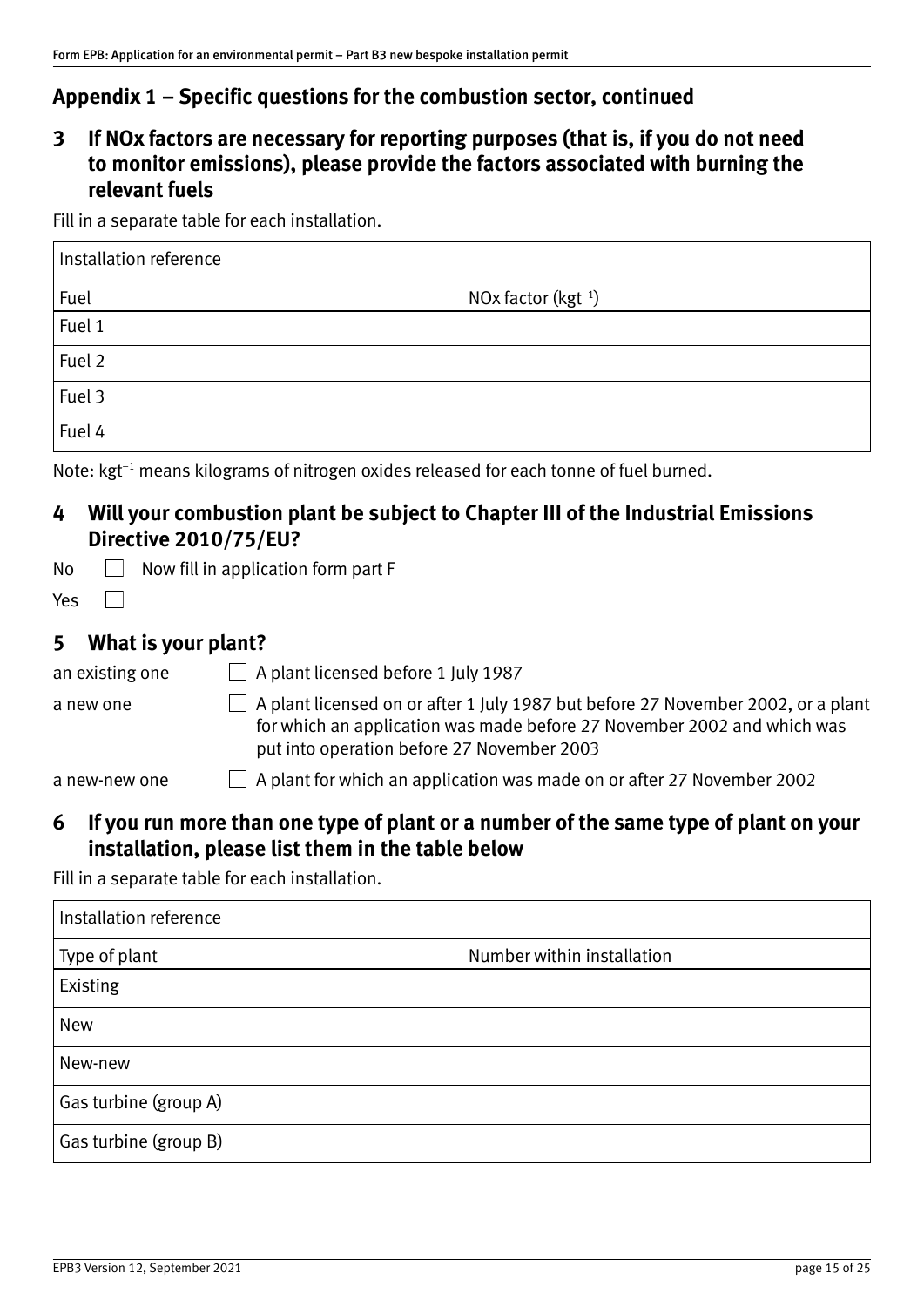# **3 If NOx factors are necessary for reporting purposes (that is, if you do not need to monitor emissions), please provide the factors associated with burning the relevant fuels**

Fill in a separate table for each installation.

| Installation reference |                                 |
|------------------------|---------------------------------|
| Fuel                   | NOx factor (kgt <sup>-1</sup> ) |
| Fuel 1                 |                                 |
| Fuel 2                 |                                 |
| Fuel 3                 |                                 |
| Fuel 4                 |                                 |

Note: kgt<sup>-1</sup> means kilograms of nitrogen oxides released for each tonne of fuel burned.

## **4 Will your combustion plant be subject to Chapter III of the Industrial Emissions Directive 2010/75/EU?**

| No |  | $\Box$ Now fill in application form part F |  |
|----|--|--------------------------------------------|--|
|    |  |                                            |  |

 $\Box$ Yes

## **5 What is your plant?**

| an existing one | $\Box$ A plant licensed before 1 July 1987                                                                                                                                                                       |
|-----------------|------------------------------------------------------------------------------------------------------------------------------------------------------------------------------------------------------------------|
| a new one       | $\Box$ A plant licensed on or after 1 July 1987 but before 27 November 2002, or a plant<br>for which an application was made before 27 November 2002 and which was<br>put into operation before 27 November 2003 |
| a new-new one   | $\Box$ A plant for which an application was made on or after 27 November 2002                                                                                                                                    |

## **6 If you run more than one type of plant or a number of the same type of plant on your installation, please list them in the table below**

Fill in a separate table for each installation.

| Installation reference |                            |
|------------------------|----------------------------|
| Type of plant          | Number within installation |
| Existing               |                            |
| New                    |                            |
| New-new                |                            |
| Gas turbine (group A)  |                            |
| Gas turbine (group B)  |                            |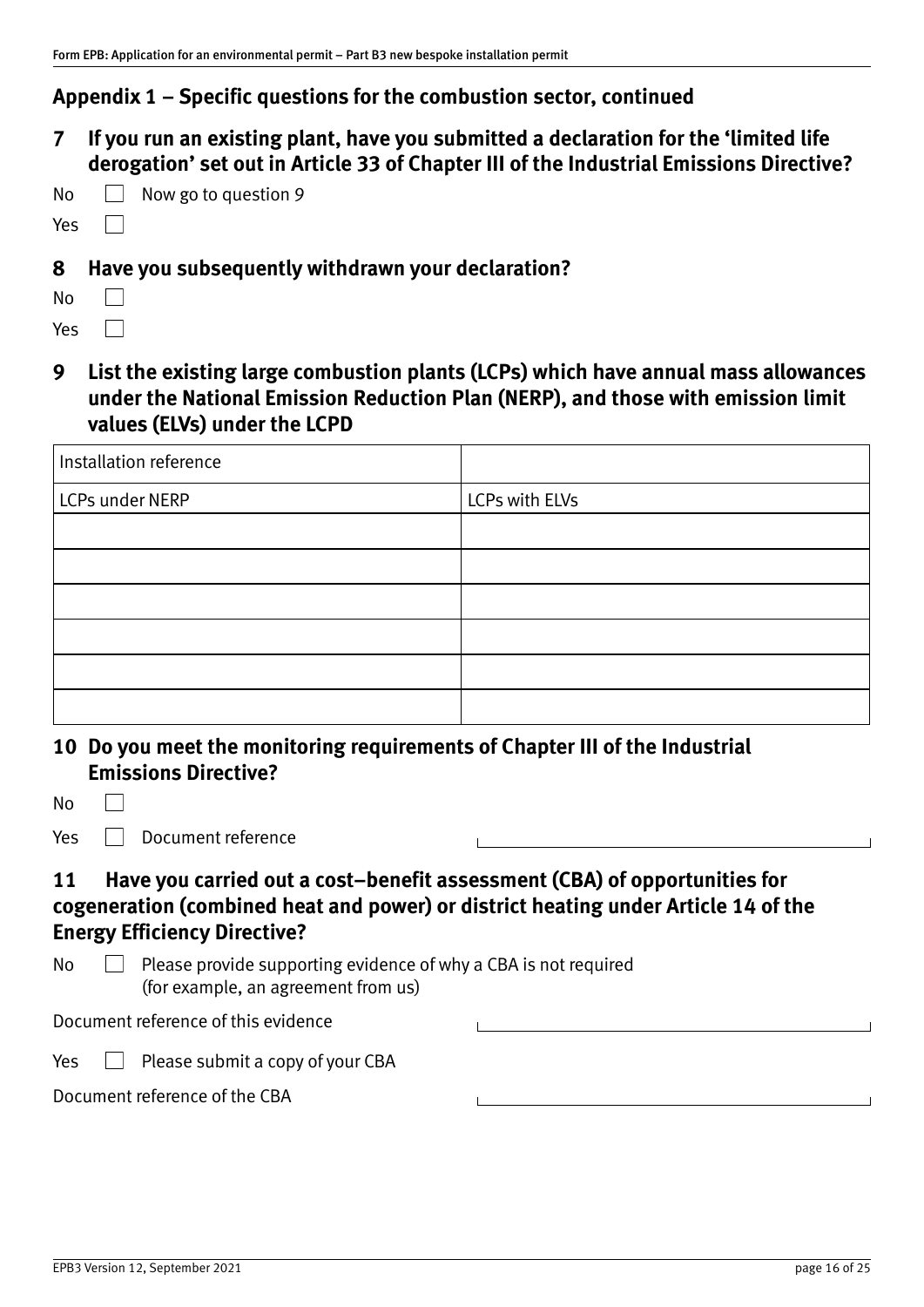**7 If you run an existing plant, have you submitted a declaration for the 'limited life derogation' set out in Article 33 of Chapter III of the Industrial Emissions Directive?** 

| No |  | $\Box$ Now go to question 9 |
|----|--|-----------------------------|
|----|--|-----------------------------|

#### Yes

### **8 Have you subsequently withdrawn your declaration?**

| N٥  |  |
|-----|--|
| Yes |  |

 $\Box$ 

**9 List the existing large combustion plants (LCPs) which have annual mass allowances under the National Emission Reduction Plan (NERP), and those with emission limit values (ELVs) under the LCPD** 

| Installation reference |                |
|------------------------|----------------|
| LCPs under NERP        | LCPs with ELVs |
|                        |                |
|                        |                |
|                        |                |
|                        |                |
|                        |                |
|                        |                |

| 10 Do you meet the monitoring requirements of Chapter III of the Industrial |
|-----------------------------------------------------------------------------|
| <b>Emissions Directive?</b>                                                 |

| No  |                                                                                                                                                                                                        |  |
|-----|--------------------------------------------------------------------------------------------------------------------------------------------------------------------------------------------------------|--|
| Yes | Document reference                                                                                                                                                                                     |  |
| 11  | Have you carried out a cost-benefit assessment (CBA) of opportunities for<br>cogeneration (combined heat and power) or district heating under Article 14 of the<br><b>Energy Efficiency Directive?</b> |  |
| No  | Please provide supporting evidence of why a CBA is not required<br>(for example, an agreement from us)                                                                                                 |  |
|     | Document reference of this evidence                                                                                                                                                                    |  |
| Yes | Please submit a copy of your CBA                                                                                                                                                                       |  |
|     | Document reference of the CBA                                                                                                                                                                          |  |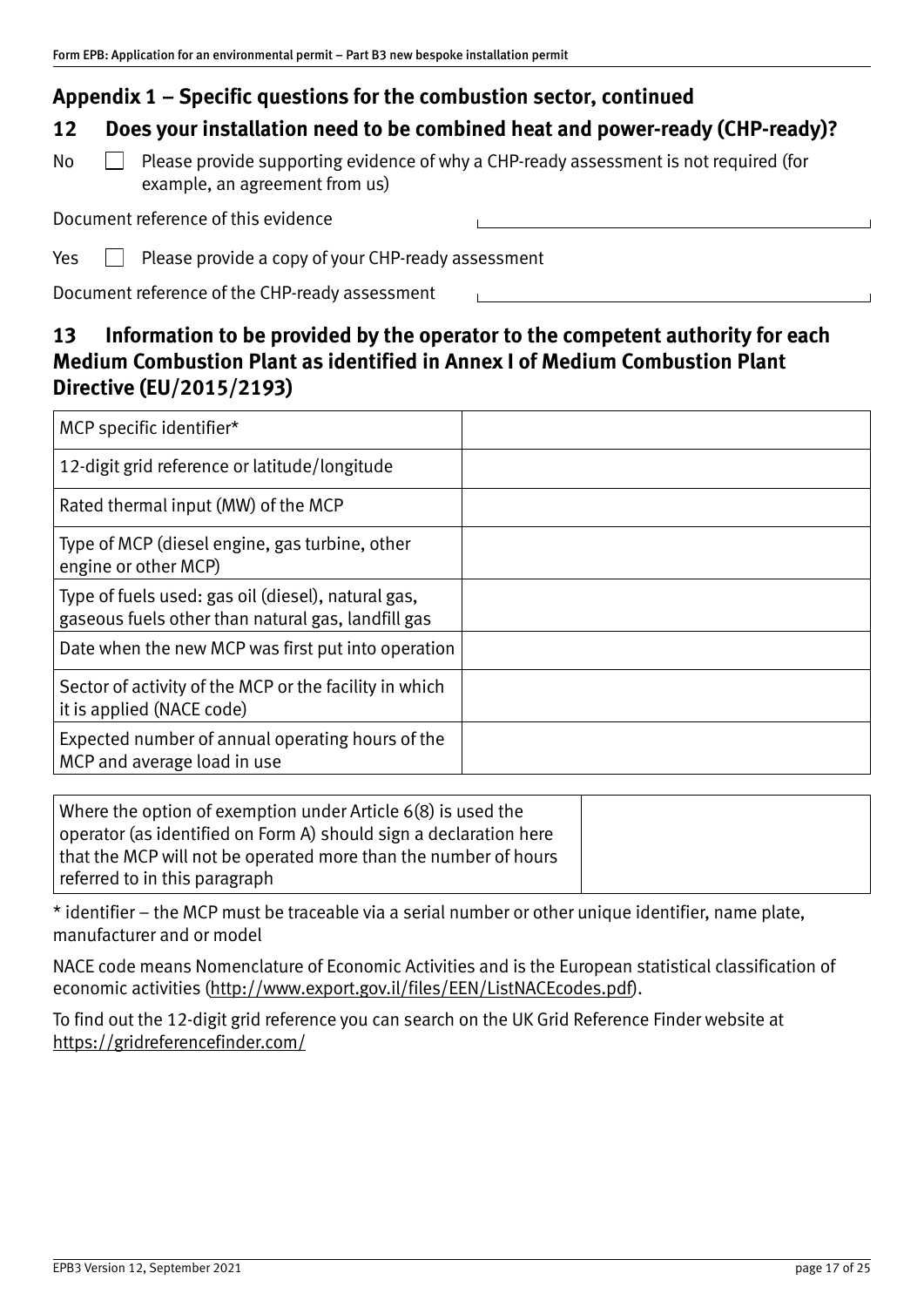# **12 Does your installation need to be combined heat and power‐ready (CHP‐ready)?**

 $\mathbb N$ o  $\Box$  Please provide supporting evidence of why a CHP-ready assessment is not required (for example, an agreement from us)

Document reference of this evidence

 $Yes \Box$  Please provide a copy of your CHP-ready assessment

Document reference of the CHP‐ready assessment

# **13 Information to be provided by the operator to the competent authority for each Medium Combustion Plant as identified in Annex I of Medium Combustion Plant Directive (EU/2015/2193)**

 $\mathbf{L}$  and  $\mathbf{L}$ 

| MCP specific identifier*                                                                                 |  |
|----------------------------------------------------------------------------------------------------------|--|
| 12-digit grid reference or latitude/longitude                                                            |  |
| Rated thermal input (MW) of the MCP                                                                      |  |
| Type of MCP (diesel engine, gas turbine, other<br>engine or other MCP)                                   |  |
| Type of fuels used: gas oil (diesel), natural gas,<br>gaseous fuels other than natural gas, landfill gas |  |
| Date when the new MCP was first put into operation                                                       |  |
| Sector of activity of the MCP or the facility in which<br>it is applied (NACE code)                      |  |
| Expected number of annual operating hours of the<br>MCP and average load in use                          |  |

| Where the option of exemption under Article 6(8) is used the<br>$\mid$ operator (as identified on Form A) should sign a declaration here |  |
|------------------------------------------------------------------------------------------------------------------------------------------|--|
| that the MCP will not be operated more than the number of hours                                                                          |  |
| referred to in this paragraph                                                                                                            |  |

\* identifier – the MCP must be traceable via a serial number or other unique identifier, name plate, manufacturer and or model

NACE code means Nomenclature of Economic Activities and is the European statistical classification of economic activities [\(http://www.export.gov.il/files/EEN/ListNACEcodes.pdf](http://www.export.gov.il/files/EEN/ListNACEcodes.pdf)).

To find out the 12‐digit grid reference you can search on the UK Grid Reference Finder website at <https://gridreferencefinder.com/>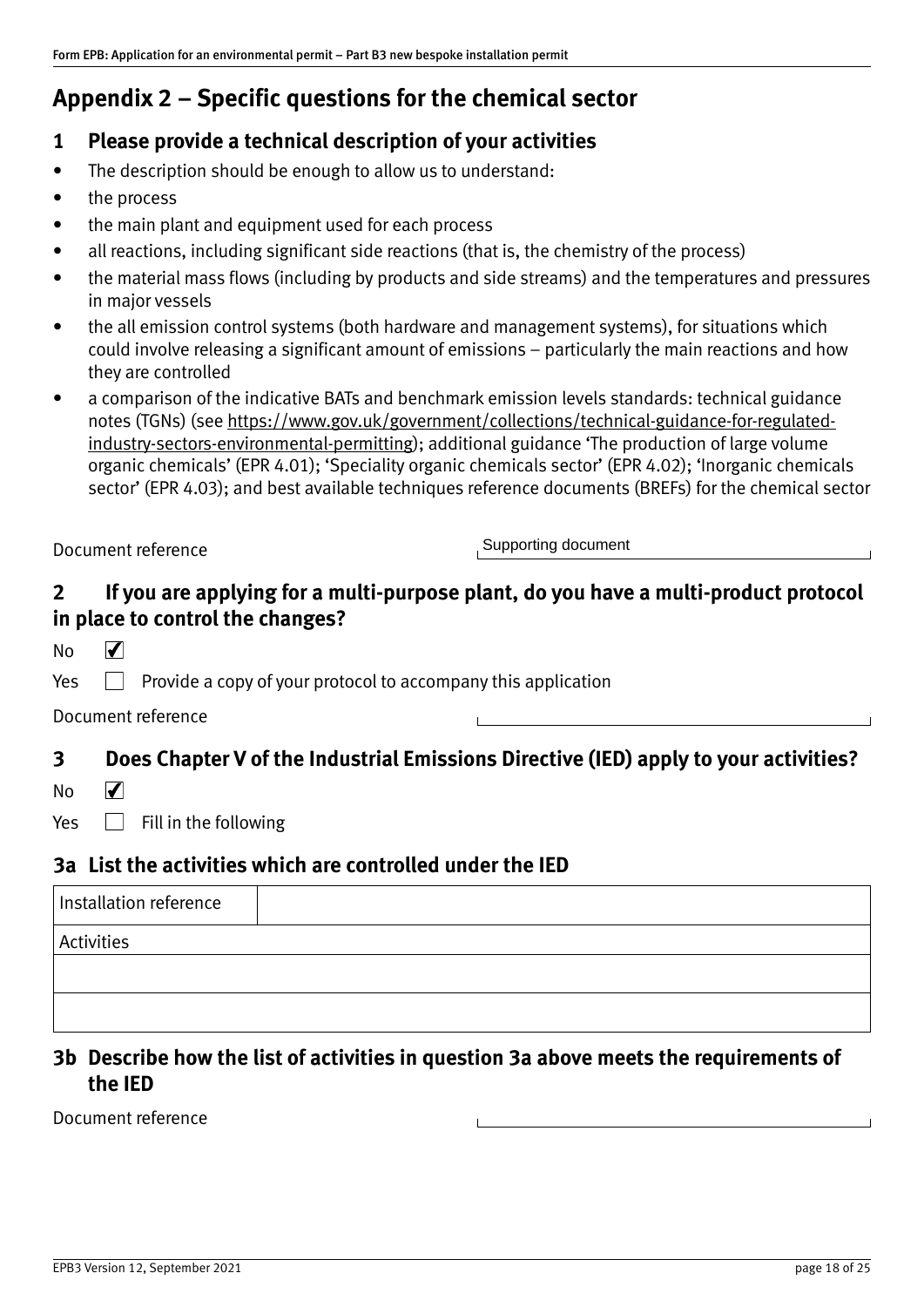# <span id="page-17-1"></span><span id="page-17-0"></span>**Appendix 2 – Specific questions for the chemical sector**

### **1 Please provide a technical description of your activities**

- The description should be enough to allow us to understand:
- the process
- the main plant and equipment used for each process
- all reactions, including significant side reactions (that is, the chemistry of the process)
- the material mass flows (including by products and side streams) and the temperatures and pressures in major vessels
- the all emission control systems (both hardware and management systems), for situations which could involve releasing a significant amount of emissions – particularly the main reactions and how they are controlled
- a comparison of the indicative BATs and benchmark emission levels standards: technical guidance notes (TGNs) (see [https://www.gov.uk/government/collections/technical‐guidance‐for‐regulated‐](https://www.gov.uk/government/collections/technical-guidance-for-regulated-industry-sectors-environmental-permitting) industry-sectors-environmental-permitting); additional guidance 'The production of large volume organic chemicals' (EPR 4.01); 'Speciality organic chemicals sector' (EPR 4.02); 'Inorganic chemicals sector' (EPR 4.03); and best available techniques reference documents (BREFs) for the chemical sector

Document reference

Supporting document

# **2 If you are applying for a multi‐purpose plant, do you have a multi‐product protocol in place to control the changes?**

No  $\blacktriangledown$ 

 $Yes \Box$  Provide a copy of your protocol to accompany this application

Document reference

### **3 Does Chapter V of the Industrial Emissions Directive (IED) apply to your activities?**

 $\blacktriangledown$ No

Yes  $\Box$  Fill in the following

### **3a List the activities which are controlled under the IED**

| Installation reference |  |
|------------------------|--|
| <b>Activities</b>      |  |
|                        |  |
|                        |  |
|                        |  |

### **3b Describe how the list of activities in question 3a above meets the requirements of the IED**

Document reference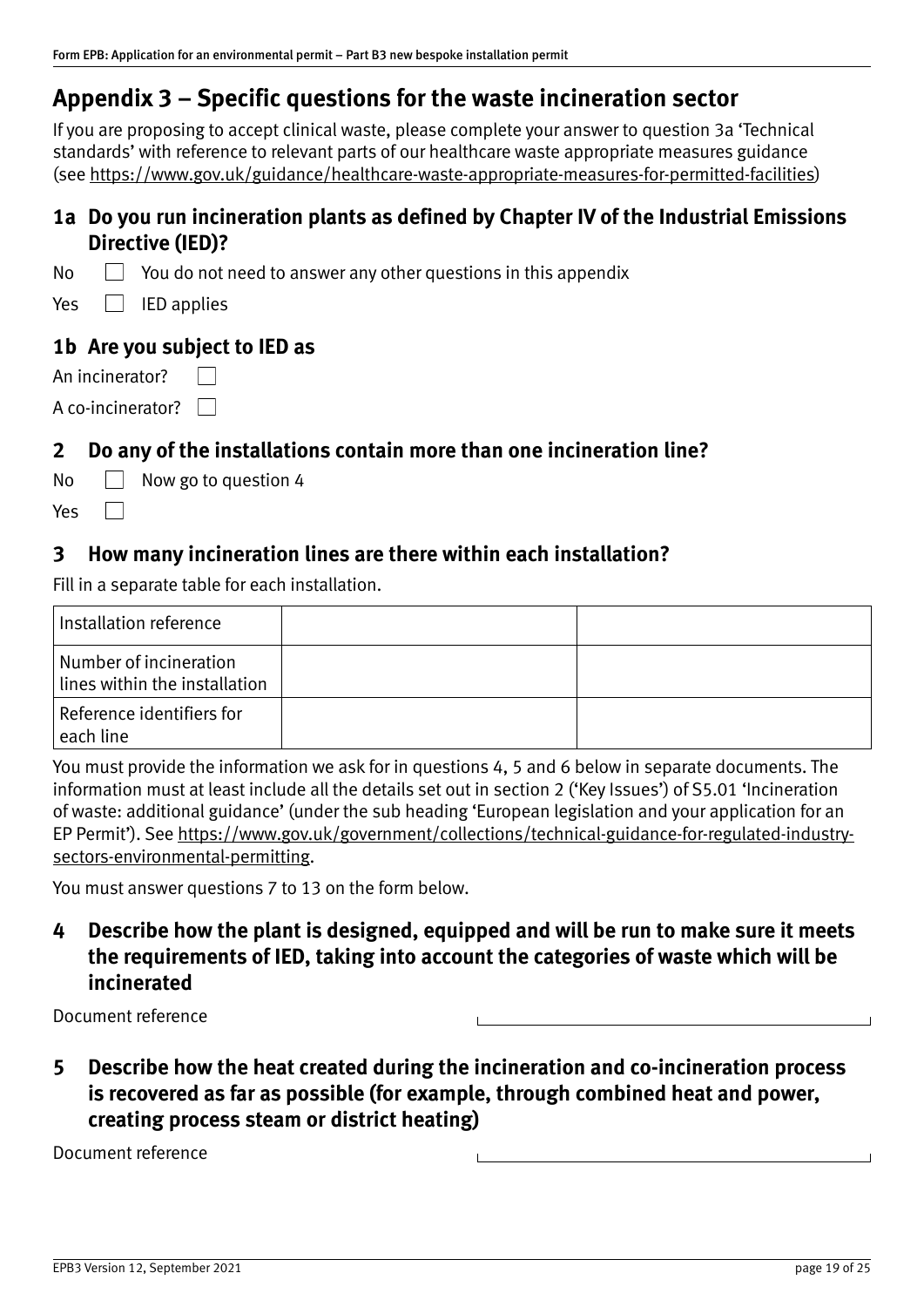<span id="page-18-1"></span><span id="page-18-0"></span>If you are proposing to accept clinical waste, please complete your answer to question 3a 'Technical standards' with reference to relevant parts of our healthcare waste appropriate measures guidance (see [https://www.gov.uk/guidance/healthcare‐waste‐appropriate‐measures‐for‐permitted‐facilities](https://www.gov.uk/guidance/healthcare-waste-appropriate-measures-for-permitted-facilities))

## **1a Do you run incineration plants as defined by Chapter IV of the Industrial Emissions Directive (IED)?**

 $\mathsf{No} \quad \Box$  You do not need to answer any other questions in this appendix

 $Yes \tEDE$  IED applies

### **1b Are you subject to IED as**

| An incinerator?          |  |
|--------------------------|--|
| A co-incinerator? $\Box$ |  |

### **2 Do any of the installations contain more than one incineration line?**

 $\overline{\bigcirc}$  Now go to question 4

### **3 How many incineration lines are there within each installation?**

Fill in a separate table for each installation.

| Installation reference                                         |  |
|----------------------------------------------------------------|--|
| Number of incineration<br>$\mid$ lines within the installation |  |
| Reference identifiers for<br>  each line_                      |  |

You must provide the information we ask for in questions 4, 5 and 6 below in separate documents. The information must at least include all the details set out in section 2 ('Key Issues') of S5.01 'Incineration of waste: additional guidance' (under the sub heading 'European legislation and your application for an EP Permit'). See [https://www.gov.uk/government/collections/technical‐guidance‐for‐regulated‐industry‐](https://www.gov.uk/government/collections/technical-guidance-for-regulated-industry-sectors-environmental-permitting) sectors-environmental-permitting.

You must answer questions 7 to 13 on the form below.

**4 Describe how the plant is designed, equipped and will be run to make sure it meets the requirements of IED, taking into account the categories of waste which will be incinerated** 

Document reference

**5 Describe how the heat created during the incineration and co‐incineration process is recovered as far as possible (for example, through combined heat and power, creating process steam or district heating)** 

Document reference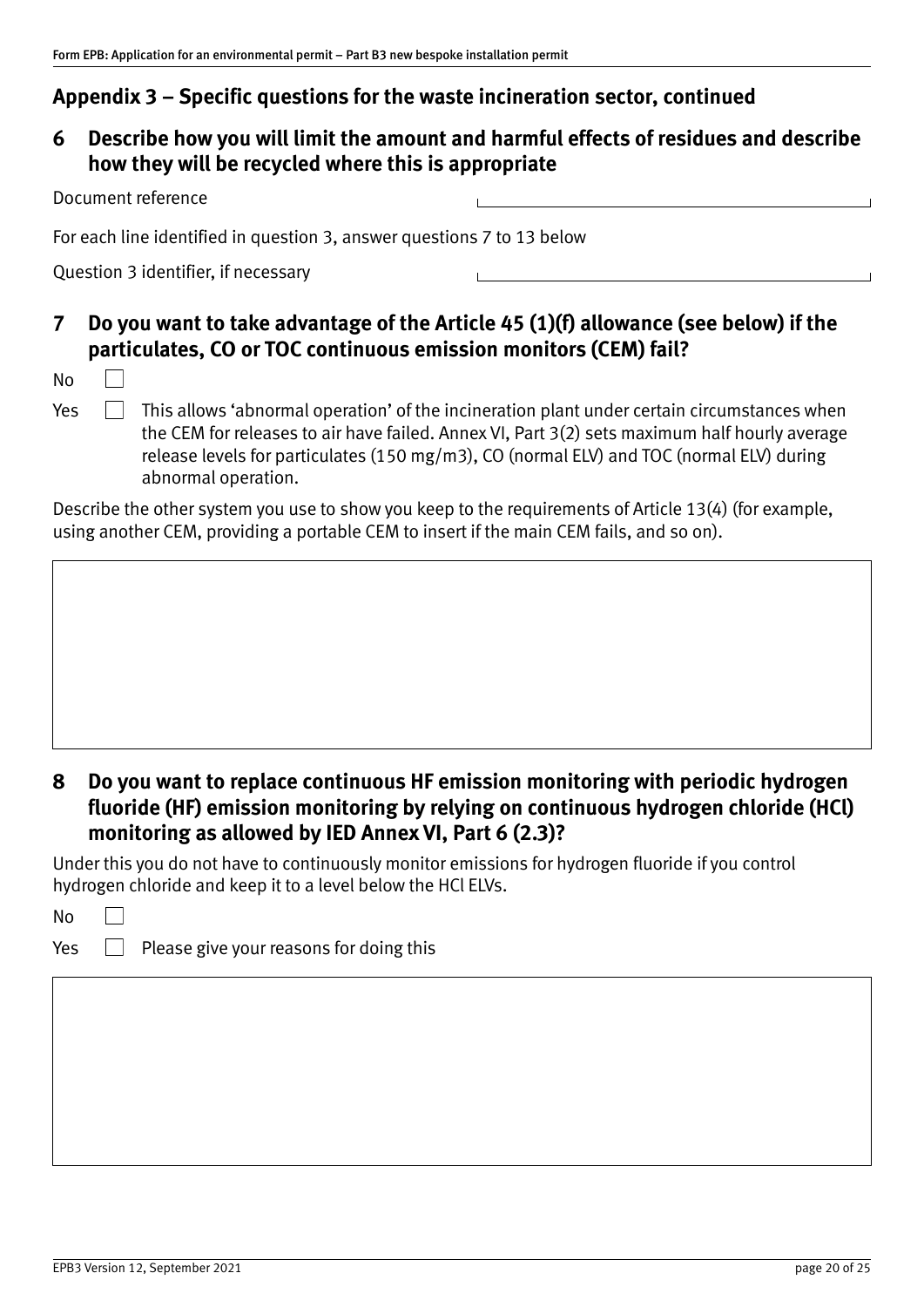# **6 Describe how you will limit the amount and harmful effects of residues and describe how they will be recycled where this is appropriate**

| Document reference                                                     |  |
|------------------------------------------------------------------------|--|
| For each line identified in question 3, answer questions 7 to 13 below |  |
| Question 3 identifier, if necessary                                    |  |

# **7 Do you want to take advantage of the Article 45 (1)(f) allowance (see below) if the particulates, CO or TOC continuous emission monitors (CEM) fail?**

No

 $Yes \Box$  This allows 'abnormal operation' of the incineration plant under certain circumstances when the CEM for releases to air have failed. Annex VI, Part 3(2) sets maximum half hourly average release levels for particulates (150 mg/m3), CO (normal ELV) and TOC (normal ELV) during abnormal operation.

Describe the other system you use to show you keep to the requirements of Article 13(4) (for example, using another CEM, providing a portable CEM to insert if the main CEM fails, and so on).

# **8 Do you want to replace continuous HF emission monitoring with periodic hydrogen fluoride (HF) emission monitoring by relying on continuous hydrogen chloride (HCl) monitoring as allowed by IED Annex VI, Part 6 (2.3)?**

Under this you do not have to continuously monitor emissions for hydrogen fluoride if you control hydrogen chloride and keep it to a level below the HCl ELVs.

 $Yes \Box$  Please give your reasons for doing this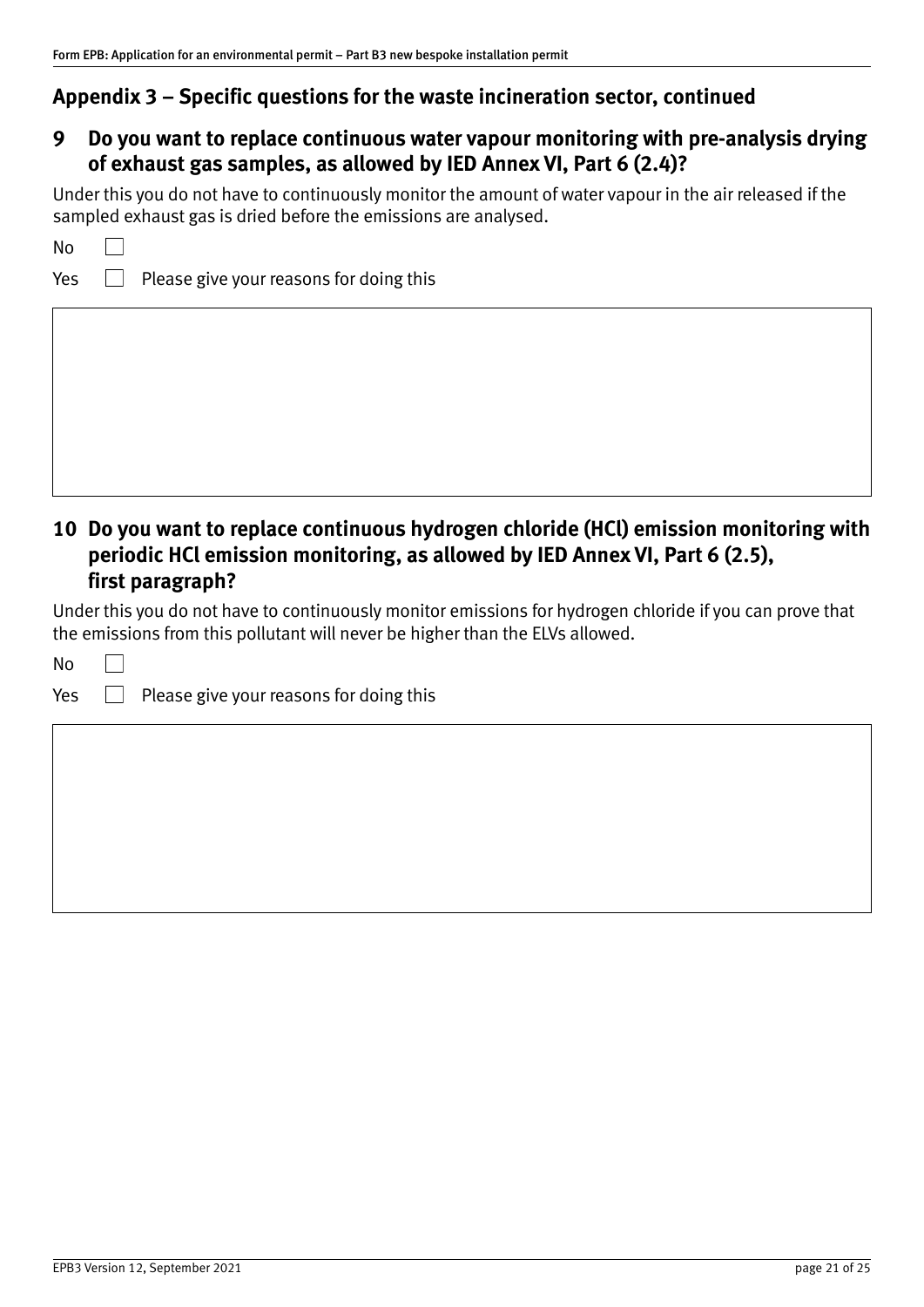## **9 Do you want to replace continuous water vapour monitoring with pre‐analysis drying of exhaust gas samples, as allowed by IED Annex VI, Part 6 (2.4)?**

Under this you do not have to continuously monitor the amount of water vapour in the air released if the sampled exhaust gas is dried before the emissions are analysed.

| ۰,<br>v<br>× |
|--------------|
|--------------|

 $Yes \Box$  Please give your reasons for doing this

# **10 Do you want to replace continuous hydrogen chloride (HCl) emission monitoring with periodic HCl emission monitoring, as allowed by IED Annex VI, Part 6 (2.5), first paragraph?**

Under this you do not have to continuously monitor emissions for hydrogen chloride if you can prove that the emissions from this pollutant will never be higher than the ELVs allowed.

No

 $\Box$ 

 $Yes \Box$  Please give your reasons for doing this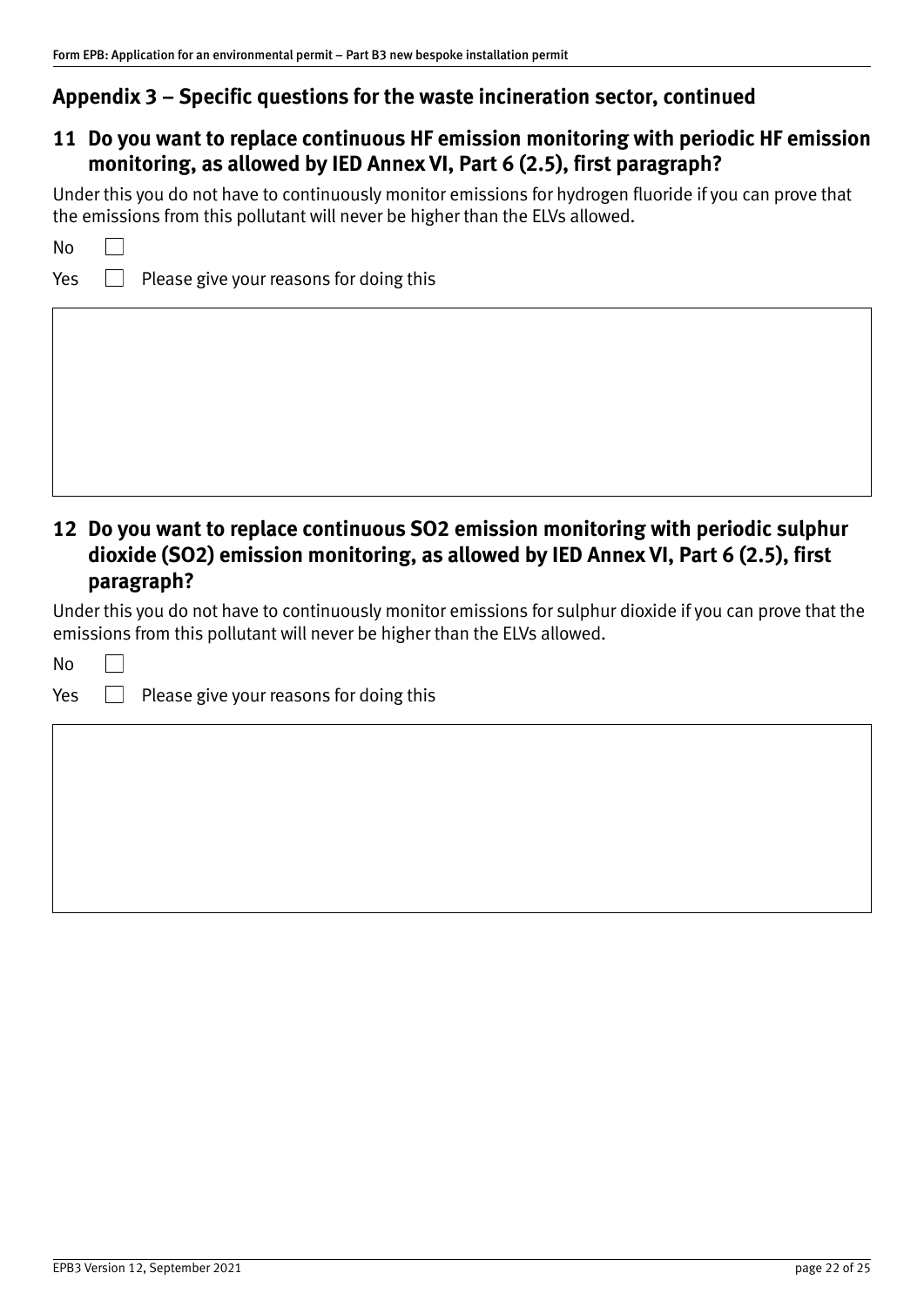# **11 Do you want to replace continuous HF emission monitoring with periodic HF emission monitoring, as allowed by IED Annex VI, Part 6 (2.5), first paragraph?**

Under this you do not have to continuously monitor emissions for hydrogen fluoride if you can prove that the emissions from this pollutant will never be higher than the ELVs allowed.

 $Yes \Box$  Please give your reasons for doing this

# **12 Do you want to replace continuous SO2 emission monitoring with periodic sulphur dioxide (SO2) emission monitoring, as allowed by IED Annex VI, Part 6 (2.5), first paragraph?**

Under this you do not have to continuously monitor emissions for sulphur dioxide if you can prove that the emissions from this pollutant will never be higher than the ELVs allowed.

No

 $\Box$ 

 $Yes \Box$  Please give your reasons for doing this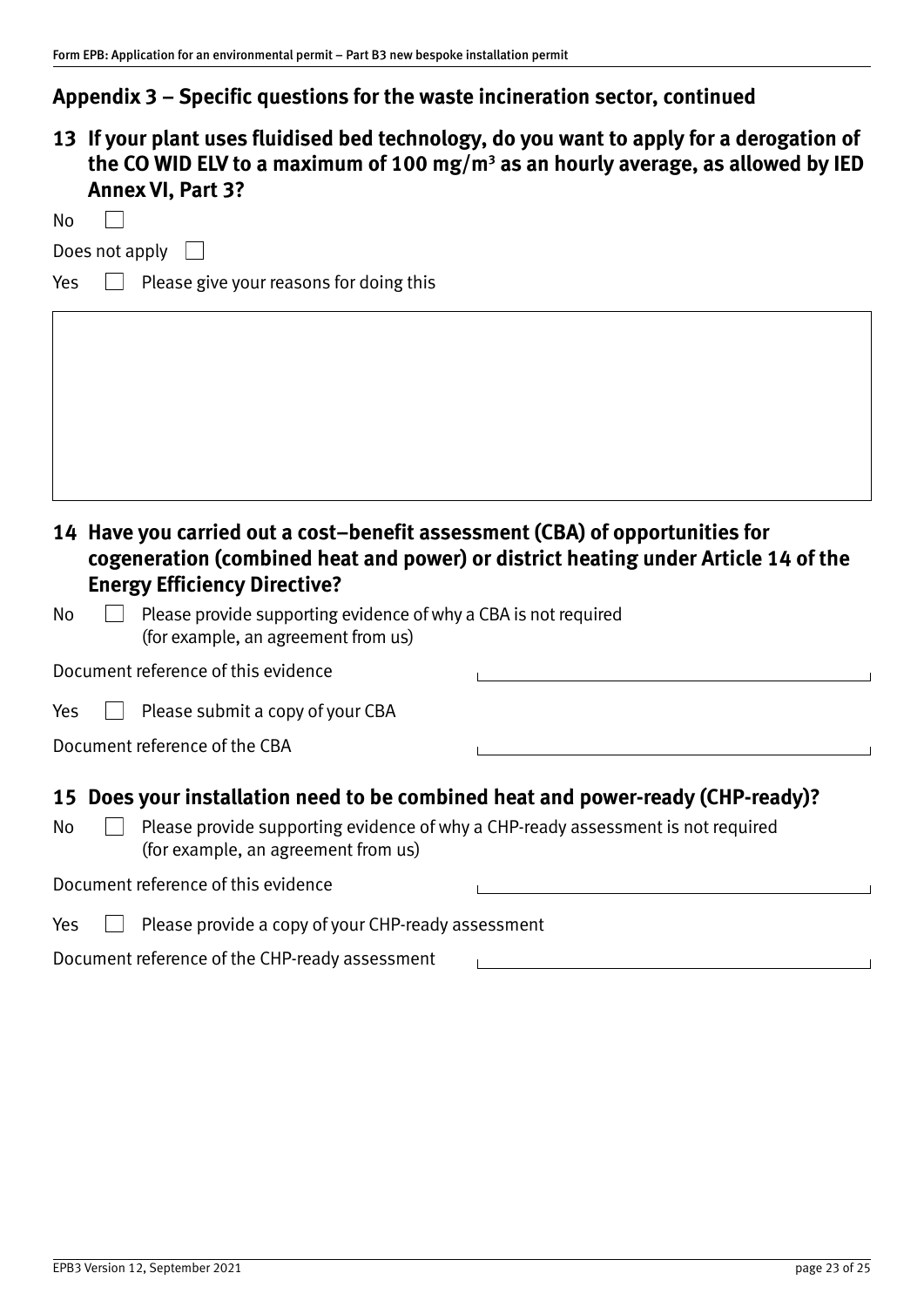**13 If your plant uses fluidised bed technology, do you want to apply for a derogation of**  the CO WID ELV to a maximum of 100 mg/m<sup>3</sup> as an hourly average, as allowed by IED **Annex VI, Part 3?** 

Does not apply  $\Box$ 

 $\Box$ 

 $Yes \Box$  Please give your reasons for doing this

# **14 Have you carried out a cost–benefit assessment (CBA) of opportunities for cogeneration (combined heat and power) or district heating under Article 14 of the Energy Efficiency Directive?**

| No | $\Box$ Please provide supporting evidence of why a CBA is not required |
|----|------------------------------------------------------------------------|
|    | (for example, an agreement from us)                                    |

| Document reference of this evidence |  |  |
|-------------------------------------|--|--|
|-------------------------------------|--|--|

| Yes |  |  | $\Box$ Please submit a copy of your CBA |  |  |  |
|-----|--|--|-----------------------------------------|--|--|--|
|-----|--|--|-----------------------------------------|--|--|--|

Document reference of the CBA

#### **15 Does your installation need to be combined heat and power‐ready (CHP‐ready)?**

 $\mathsf{No} \quad \Box$  Please provide supporting evidence of why a CHP-ready assessment is not required (for example, an agreement from us)

Document reference of this evidence

| Yes |  | Please provide a copy of your CHP-ready assessment |
|-----|--|----------------------------------------------------|
|-----|--|----------------------------------------------------|

Document reference of the CHP‐ready assessment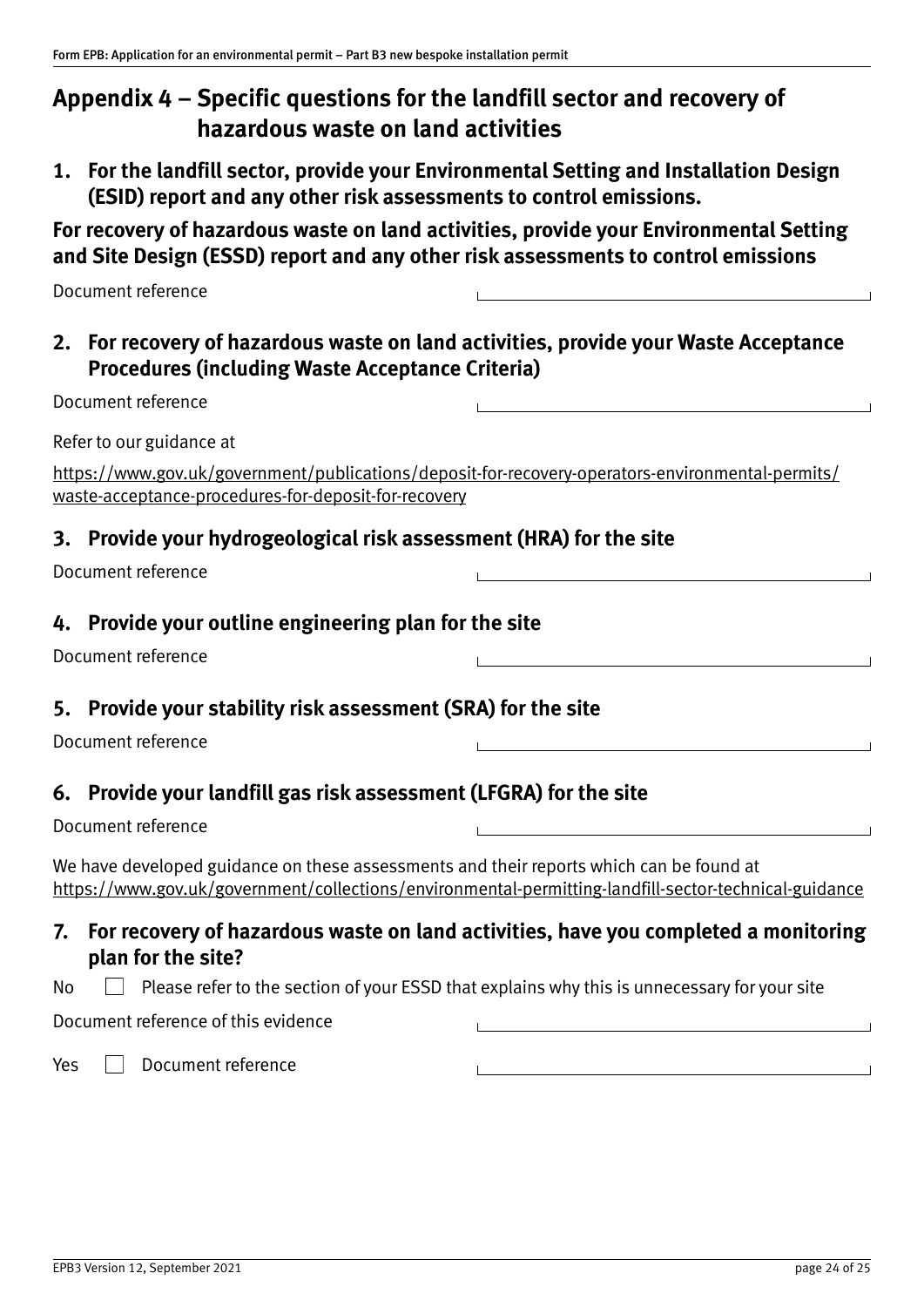# <span id="page-23-1"></span><span id="page-23-0"></span>**Appendix 4 – Specific questions for the landfill sector and recovery of hazardous waste on land activities**

**1. For the landfill sector, provide your Environmental Setting and Installation Design (ESID) report and any other risk assessments to control emissions.**

**For recovery of hazardous waste on land activities, provide your Environmental Setting and Site Design (ESSD) report and any other risk assessments to control emissions**

| Document reference |  |
|--------------------|--|
|                    |  |

**2. For recovery of hazardous waste on land activities, provide your Waste Acceptance Procedures (including Waste Acceptance Criteria)** 

| Document reference                                                                                                                                       |                                                                                                           |
|----------------------------------------------------------------------------------------------------------------------------------------------------------|-----------------------------------------------------------------------------------------------------------|
| Refer to our guidance at                                                                                                                                 |                                                                                                           |
| https://www.gov.uk/government/publications/deposit-for-recovery-operators-environmental-permits/<br>waste-acceptance-procedures-for-deposit-for-recovery |                                                                                                           |
| 3. Provide your hydrogeological risk assessment (HRA) for the site                                                                                       |                                                                                                           |
| Document reference                                                                                                                                       |                                                                                                           |
| 4. Provide your outline engineering plan for the site<br>Document reference                                                                              |                                                                                                           |
| Provide your stability risk assessment (SRA) for the site<br>5.<br>Document reference                                                                    |                                                                                                           |
| 6. Provide your landfill gas risk assessment (LFGRA) for the site                                                                                        |                                                                                                           |
| Document reference                                                                                                                                       |                                                                                                           |
| We have developed guidance on these assessments and their reports which can be found at                                                                  | https://www.gov.uk/government/collections/environmental-permitting-landfill-sector-technical-guidance     |
|                                                                                                                                                          | $\mathsf{E}_{\mathsf{A}}$ racovary of hozardous wasto on land astivities, hoye you completed a menitoring |

### **7. For recovery of hazardous waste on land activities, have you completed a monitoring plan for the site?**

Document reference of this evidence

Yes **Document reference**